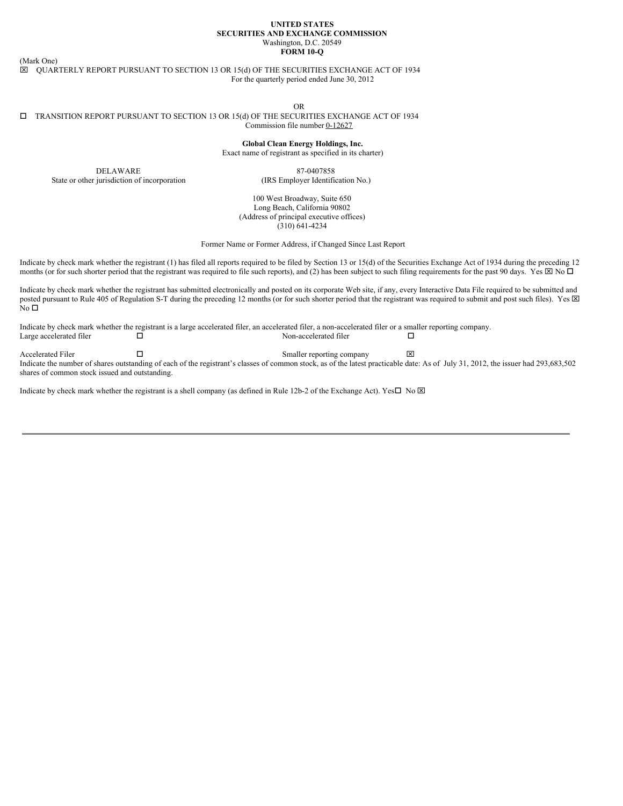#### **UNITED STATES SECURITIES AND EXCHANGE COMMISSION** Washington, D.C. 20549 **FORM 10-Q**

(Mark One)

 $\boxtimes$  QUARTERLY REPORT PURSUANT TO SECTION 13 OR 15(d) OF THE SECURITIES EXCHANGE ACT OF 1934 For the quarterly period ended June 30, 2012

OR

#### $\square$  TRANSITION REPORT PURSUANT TO SECTION 13 OR 15(d) OF THE SECURITIES EXCHANGE ACT OF 1934 Commission file number 0-12627

**Global Clean Energy Holdings, Inc.** Exact name of registrant as specified in its charter)

DELAWARE State or other jurisdiction of incorporation

87-0407858 (IRS Employer Identification No.)

100 West Broadway, Suite 650 Long Beach, California 90802 (Address of principal executive offices) (310) 641-4234

Former Name or Former Address, if Changed Since Last Report

Indicate by check mark whether the registrant (1) has filed all reports required to be filed by Section 13 or 15(d) of the Securities Exchange Act of 1934 during the preceding 12 months (or for such shorter period that the registrant was required to file such reports), and (2) has been subject to such filing requirements for the past 90 days. Yes  $\boxtimes$  No  $\Box$ 

Indicate by check mark whether the registrant has submitted electronically and posted on its corporate Web site, if any, every Interactive Data File required to be submitted and posted pursuant to Rule 405 of Regulation S-T during the preceding 12 months (or for such shorter period that the registrant was required to submit and post such files). Yes  $\boxtimes$ No  $\Box$ 

Indicate by check mark whether the registrant is a large accelerated filer, an accelerated filer, a non-accelerated filer or a smaller reporting company. Large accelerated filer  $\square$ 

Accelerated Filer  $\square$ Indicate the number of shares outstanding of each of the registrant's classes of common stock, as of the latest practicable date: As of July 31, 2012, the issuer had 293,683,502 shares of common stock issued and outstanding.

Indicate by check mark whether the registrant is a shell company (as defined in Rule 12b-2 of the Exchange Act). Yes $\Box$  No  $\boxtimes$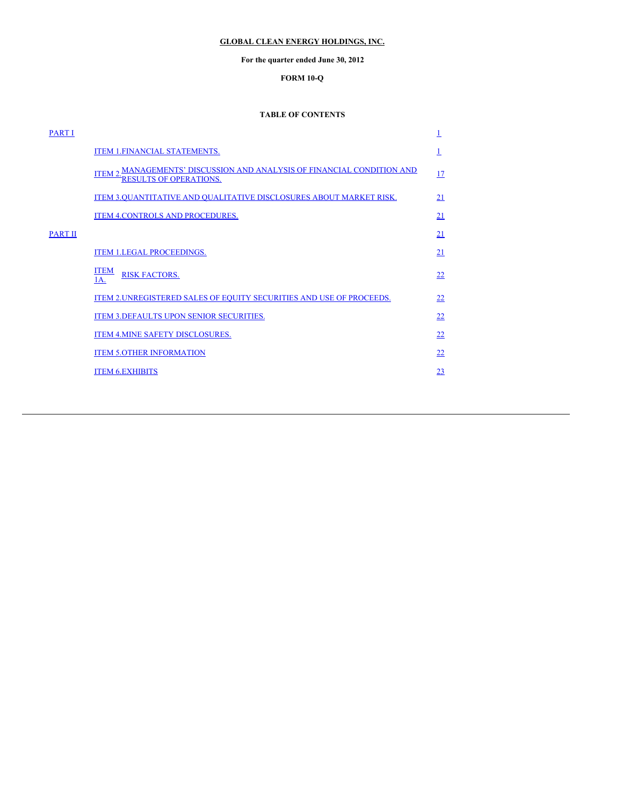# <span id="page-1-0"></span>**GLOBAL CLEAN ENERGY HOLDINGS, INC.**

# **For the quarter ended June 30, 2012**

# **FORM 10-Q**

## **TABLE OF CONTENTS**

| <b>PART I</b>  |                                                                                                       | 1         |
|----------------|-------------------------------------------------------------------------------------------------------|-----------|
|                | ITEM 1. FINANCIAL STATEMENTS.                                                                         |           |
|                | <u>ITEM 2. MANAGEMENTS' DISCUSSION AND ANALYSIS OF FINANCIAL CONDITION AND RESULTS OF OPERATIONS.</u> | <u>17</u> |
|                | ITEM 3.QUANTITATIVE AND QUALITATIVE DISCLOSURES ABOUT MARKET RISK.                                    | 21        |
|                | ITEM 4. CONTROLS AND PROCEDURES.                                                                      | 21        |
| <b>PART II</b> |                                                                                                       | 21        |
|                | <b>ITEM 1.LEGAL PROCEEDINGS.</b>                                                                      | 21        |
|                | <b>ITEM</b><br><b>RISK FACTORS.</b><br>1A.                                                            | 22        |
|                | ITEM 2. UNREGISTERED SALES OF EQUITY SECURITIES AND USE OF PROCEEDS.                                  | 22        |
|                | ITEM 3. DEFAULTS UPON SENIOR SECURITIES.                                                              | <u>22</u> |
|                | ITEM 4. MINE SAFETY DISCLOSURES.                                                                      | 22        |
|                | <b>ITEM 5.OTHER INFORMATION</b>                                                                       | 22        |
|                | <b>ITEM 6.EXHIBITS</b>                                                                                | 23        |
|                |                                                                                                       |           |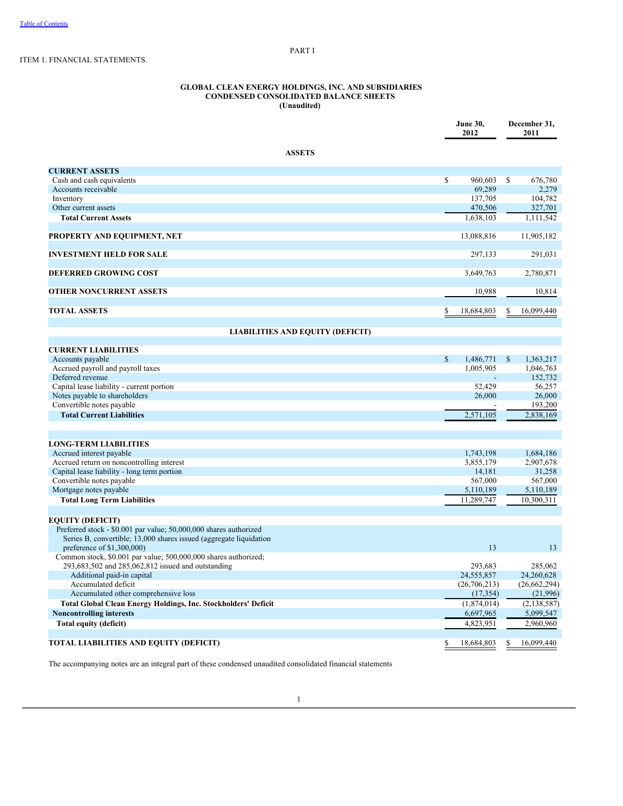## <span id="page-2-0"></span>PART I

# ITEM 1. FINANCIAL STATEMENTS.

#### **GLOBAL CLEAN ENERGY HOLDINGS, INC. AND SUBSIDIARIES CONDENSED CONSOLIDATED BALANCE SHEETS (Unaudited)**

|                                                                                                  | <b>June 30,</b><br>2012 |              | December 31,<br>2011 |
|--------------------------------------------------------------------------------------------------|-------------------------|--------------|----------------------|
| <b>ASSETS</b>                                                                                    |                         |              |                      |
| <b>CURRENT ASSETS</b>                                                                            |                         |              |                      |
| Cash and cash equivalents                                                                        | \$<br>960,603           | S            | 676,780              |
| Accounts receivable                                                                              | 69,289                  |              | 2,279                |
| Inventory                                                                                        | 137,705                 |              | 104,782              |
| Other current assets                                                                             | 470,506                 |              | 327,701              |
| <b>Total Current Assets</b>                                                                      | 1,638,103               |              | 1,111,542            |
| PROPERTY AND EQUIPMENT, NET                                                                      | 13,088,816              |              | 11,905,182           |
| <b>INVESTMENT HELD FOR SALE</b>                                                                  | 297,133                 |              | 291,031              |
| <b>DEFERRED GROWING COST</b>                                                                     | 3,649,763               |              | 2,780,871            |
| <b>OTHER NONCURRENT ASSETS</b>                                                                   | 10,988                  |              | 10,814               |
| <b>TOTAL ASSETS</b>                                                                              | 18,684,803              |              | 16,099,440           |
| <b>LIABILITIES AND EQUITY (DEFICIT)</b>                                                          |                         |              |                      |
|                                                                                                  |                         |              |                      |
| <b>CURRENT LIABILITIES</b>                                                                       |                         |              |                      |
| Accounts payable                                                                                 | \$<br>1,486,771         | $\mathbb{S}$ | 1,363,217            |
| Accrued payroll and payroll taxes                                                                | 1,005,905               |              | 1,046,763            |
| Deferred revenue                                                                                 |                         |              | 152,732              |
| Capital lease liability - current portion<br>Notes payable to shareholders                       | 52,429<br>26,000        |              | 56,257<br>26,000     |
| Convertible notes payable                                                                        |                         |              | 193,200              |
| <b>Total Current Liabilities</b>                                                                 | 2,571,105               |              | 2,838,169            |
|                                                                                                  |                         |              |                      |
| <b>LONG-TERM LIABILITIES</b>                                                                     |                         |              |                      |
| Accrued interest payable                                                                         | 1,743,198               |              | 1,684,186            |
| Accrued return on noncontrolling interest                                                        | 3,855,179               |              | 2,907,678            |
| Capital lease liability - long term portion                                                      | 14,181                  |              | 31,258               |
| Convertible notes payable                                                                        | 567,000                 |              | 567,000              |
| Mortgage notes payable                                                                           | 5,110,189               |              | 5,110,189            |
| <b>Total Long Term Liabilities</b>                                                               | 11,289,747              |              | 10,300,311           |
| <b>EQUITY (DEFICIT)</b>                                                                          |                         |              |                      |
| Preferred stock - \$0.001 par value; 50,000,000 shares authorized                                |                         |              |                      |
| Series B, convertible; 13,000 shares issued (aggregate liquidation<br>preference of \$1,300,000) | 13                      |              | 13                   |
| Common stock, \$0.001 par value; 500,000,000 shares authorized;                                  |                         |              |                      |
| 293,683,502 and 285,062,812 issued and outstanding                                               | 293.683                 |              | 285,062              |
| Additional paid-in capital                                                                       | 24,555,857              |              | 24,260,628           |
| Accumulated deficit                                                                              | (26,706,213)            |              | (26,662,294)         |
| Accumulated other comprehensive loss                                                             | (17, 354)               |              | (21,996)             |
| <b>Total Global Clean Energy Holdings, Inc. Stockholders' Deficit</b>                            | (1,874,014)             |              | (2, 138, 587)        |
| <b>Noncontrolling interests</b>                                                                  | 6,697,965               |              | 5,099,547            |
| <b>Total equity (deficit)</b>                                                                    | 4,823,951               |              | 2,960,960            |
| <b>TOTAL LIABILITIES AND EQUITY (DEFICIT)</b>                                                    | \$<br>18,684,803        | S            | 16,099,440           |

The accompanying notes are an integral part of these condensed unaudited consolidated financial statements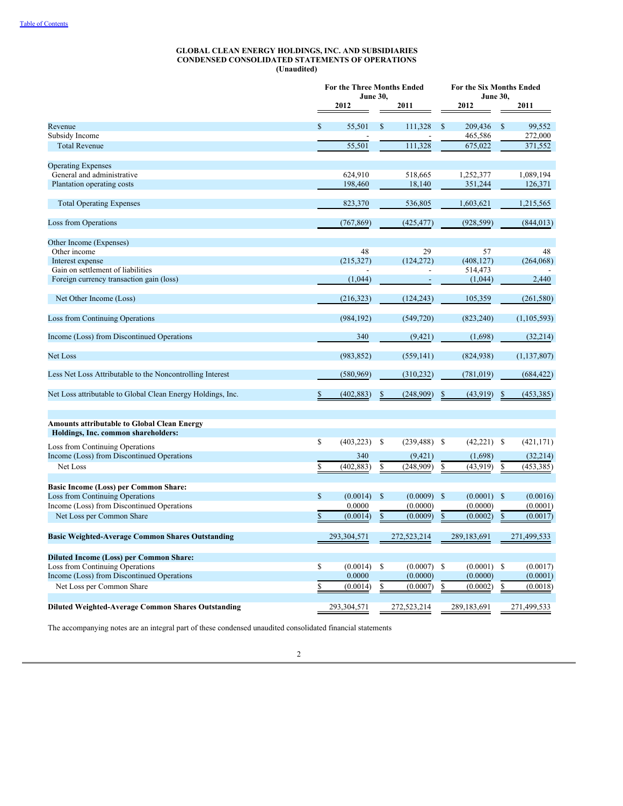#### **GLOBAL CLEAN ENERGY HOLDINGS, INC. AND SUBSIDIARIES CONDENSED CONSOLIDATED STATEMENTS OF OPERATIONS (Unaudited)**

|                                                             | For the Three Months Ended<br><b>June 30,</b> |              |                 |              | For the Six Months Ended<br><b>June 30,</b> |               |               |  |
|-------------------------------------------------------------|-----------------------------------------------|--------------|-----------------|--------------|---------------------------------------------|---------------|---------------|--|
|                                                             | 2012                                          |              | 2011            |              | 2012                                        |               | 2011          |  |
|                                                             |                                               |              |                 |              |                                             |               |               |  |
| Revenue                                                     | \$<br>55.501                                  | S            | 111.328         | S            | 209,436                                     | <sup>\$</sup> | 99,552        |  |
| Subsidy Income                                              |                                               |              |                 |              | 465,586                                     |               | 272,000       |  |
| <b>Total Revenue</b>                                        | 55,501                                        |              | 111,328         |              | 675,022                                     |               | 371,552       |  |
| <b>Operating Expenses</b>                                   |                                               |              |                 |              |                                             |               |               |  |
| General and administrative                                  | 624,910                                       |              | 518,665         |              | 1,252,377                                   |               | 1,089,194     |  |
| Plantation operating costs                                  | 198,460                                       |              | 18,140          |              | 351,244                                     |               | 126,371       |  |
|                                                             |                                               |              |                 |              |                                             |               |               |  |
| <b>Total Operating Expenses</b>                             | 823,370                                       |              | 536,805         |              | 1,603,621                                   |               | 1,215,565     |  |
| <b>Loss from Operations</b>                                 | (767, 869)                                    |              | (425, 477)      |              | (928, 599)                                  |               | (844, 013)    |  |
|                                                             |                                               |              |                 |              |                                             |               |               |  |
| Other Income (Expenses)                                     |                                               |              |                 |              |                                             |               |               |  |
| Other income                                                | 48                                            |              | 29              |              | 57                                          |               | 48            |  |
| Interest expense                                            | (215, 327)                                    |              | (124, 272)      |              | (408, 127)                                  |               | (264,068)     |  |
| Gain on settlement of liabilities                           |                                               |              |                 |              | 514,473                                     |               |               |  |
| Foreign currency transaction gain (loss)                    | (1,044)                                       |              |                 |              | (1,044)                                     |               | 2,440         |  |
| Net Other Income (Loss)                                     | (216, 323)                                    |              | (124, 243)      |              | 105,359                                     |               | (261, 580)    |  |
|                                                             |                                               |              |                 |              |                                             |               |               |  |
| Loss from Continuing Operations                             | (984, 192)                                    |              | (549, 720)      |              | (823, 240)                                  |               | (1, 105, 593) |  |
| Income (Loss) from Discontinued Operations                  | 340                                           |              | (9, 421)        |              | (1,698)                                     |               | (32, 214)     |  |
| Net Loss                                                    | (983, 852)                                    |              | (559, 141)      |              | (824, 938)                                  |               | (1, 137, 807) |  |
| Less Net Loss Attributable to the Noncontrolling Interest   | (580, 969)                                    |              | (310, 232)      |              | (781, 019)                                  |               | (684, 422)    |  |
|                                                             |                                               |              |                 |              |                                             |               |               |  |
| Net Loss attributable to Global Clean Energy Holdings, Inc. | \$<br>(402, 883)                              | \$           | (248,909)       | \$           | (43, 919)                                   | \$            | (453, 385)    |  |
| <b>Amounts attributable to Global Clean Energy</b>          |                                               |              |                 |              |                                             |               |               |  |
| Holdings, Inc. common shareholders:                         |                                               |              |                 |              |                                             |               |               |  |
| <b>Loss from Continuing Operations</b>                      | \$<br>(403, 223)                              | \$           | $(239, 488)$ \$ |              | $(42,221)$ \$                               |               | (421, 171)    |  |
| Income (Loss) from Discontinued Operations                  | 340                                           |              | (9, 421)        |              | (1,698)                                     |               | (32,214)      |  |
| Net Loss                                                    | \$<br>(402, 883)                              | \$           | (248,909)       | \$           | (43, 919)                                   | \$            | (453, 385)    |  |
|                                                             |                                               |              |                 |              |                                             |               |               |  |
| <b>Basic Income (Loss) per Common Share:</b>                |                                               |              |                 |              |                                             |               |               |  |
| Loss from Continuing Operations                             | \$<br>(0.0014)                                | $\mathbb{S}$ | (0.0009)        | $\mathbb{S}$ | (0.0001)                                    | $\mathbb{S}$  | (0.0016)      |  |
| Income (Loss) from Discontinued Operations                  | 0.0000                                        |              | (0.0000)        |              | (0.0000)                                    |               | (0.0001)      |  |
| Net Loss per Common Share                                   | \$<br>(0.0014)                                | $\mathbb{S}$ | (0.0009)        | $\mathbb{S}$ | (0.0002)                                    | \$            | (0.0017)      |  |
| <b>Basic Weighted-Average Common Shares Outstanding</b>     | 293,304,571                                   |              | 272,523,214     |              | 289,183,691                                 |               | 271,499,533   |  |
|                                                             |                                               |              |                 |              |                                             |               |               |  |
| <b>Diluted Income (Loss) per Common Share:</b>              |                                               |              |                 |              |                                             |               |               |  |
| Loss from Continuing Operations                             | \$<br>(0.0014)                                | S            | (0.0007)        | -S           | $(0.0001)$ \$                               |               | (0.0017)      |  |
| Income (Loss) from Discontinued Operations                  | 0.0000                                        |              | (0.0000)        |              | (0.0000)                                    |               | (0.0001)      |  |
| Net Loss per Common Share                                   | \$<br>(0.0014)                                | S            | (0.0007)        | S            | (0.0002)                                    | \$            | (0.0018)      |  |
|                                                             | 293,304,571                                   |              | 272,523,214     |              | 289,183,691                                 |               | 271,499,533   |  |
| <b>Diluted Weighted-Average Common Shares Outstanding</b>   |                                               |              |                 |              |                                             |               |               |  |

The accompanying notes are an integral part of these condensed unaudited consolidated financial statements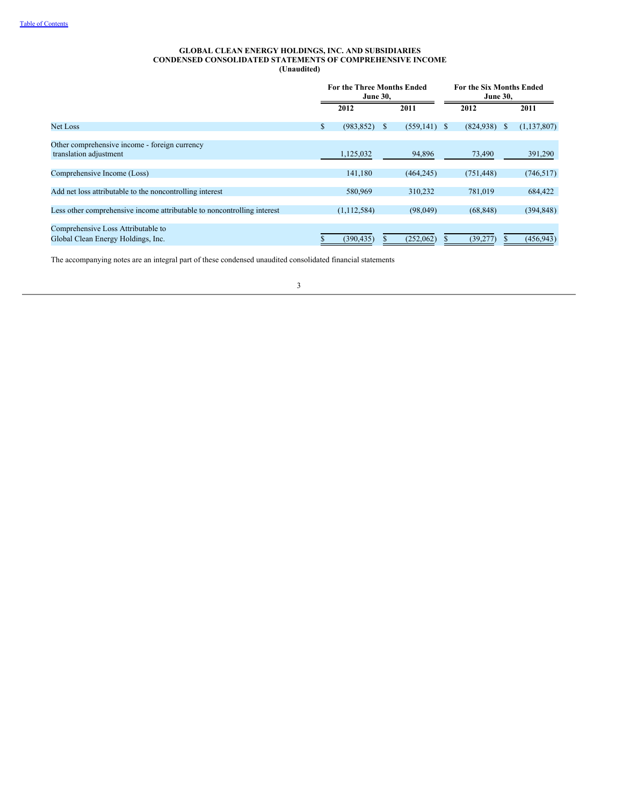#### **GLOBAL CLEAN ENERGY HOLDINGS, INC. AND SUBSIDIARIES CONDENSED CONSOLIDATED STATEMENTS OF COMPREHENSIVE INCOME (Unaudited)**

|                                                                          | For the Three Months Ended<br><b>June 30,</b> |   |                 | For the Six Months Ended<br><b>June 30,</b> |  |             |
|--------------------------------------------------------------------------|-----------------------------------------------|---|-----------------|---------------------------------------------|--|-------------|
|                                                                          | 2012                                          |   | 2011            | 2012                                        |  | 2011        |
| <b>Net Loss</b>                                                          | \$<br>(983, 852)                              | S | $(559, 141)$ \$ | $(824,938)$ \$                              |  | (1,137,807) |
| Other comprehensive income - foreign currency<br>translation adjustment  | 1,125,032                                     |   | 94,896          | 73,490                                      |  | 391,290     |
| Comprehensive Income (Loss)                                              | 141,180                                       |   | (464, 245)      | (751, 448)                                  |  | (746, 517)  |
| Add net loss attributable to the noncontrolling interest                 | 580,969                                       |   | 310.232         | 781,019                                     |  | 684,422     |
| Less other comprehensive income attributable to noncontrolling interest  | (1, 112, 584)                                 |   | (98,049)        | (68, 848)                                   |  | (394, 848)  |
| Comprehensive Loss Attributable to<br>Global Clean Energy Holdings, Inc. | (390, 435)                                    |   | (252,062)       | (39, 277)                                   |  | (456, 943)  |

The accompanying notes are an integral part of these condensed unaudited consolidated financial statements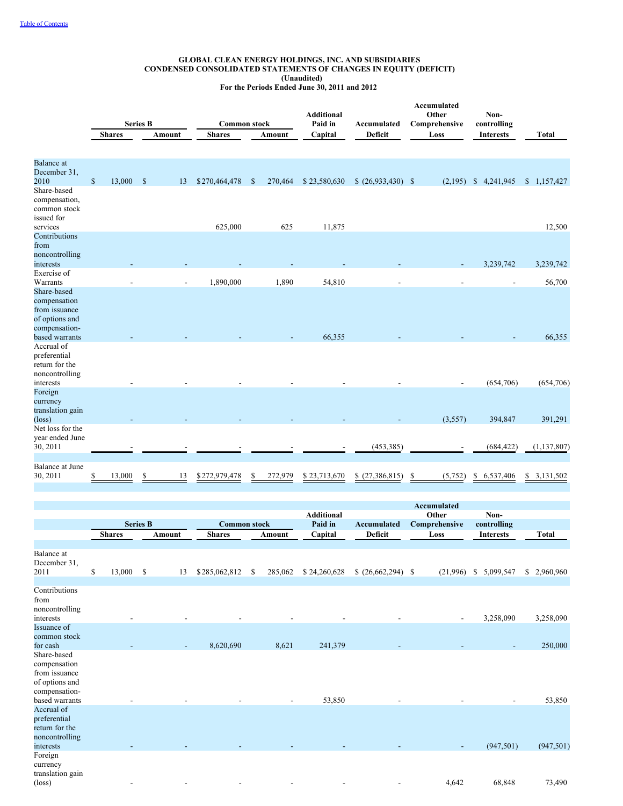## **GLOBAL CLEAN ENERGY HOLDINGS, INC. AND SUBSIDIARIES CONDENSED CONSOLIDATED STATEMENTS OF CHANGES IN EQUITY (DEFICIT) (Unaudited)**

**For the Periods Ended June 30, 2011 and 2012**

|                                                                                                                 |              | <b>Shares</b> | <b>Series B</b> | Amount | <b>Common stock</b><br><b>Shares</b> |               | Amount  | <b>Additional</b><br>Paid in<br>Capital | Accumulated<br><b>Deficit</b> | Accumulated<br>Other<br>Comprehensive<br>Loss | Non-<br>controlling<br><b>Interests</b> | <b>Total</b>    |
|-----------------------------------------------------------------------------------------------------------------|--------------|---------------|-----------------|--------|--------------------------------------|---------------|---------|-----------------------------------------|-------------------------------|-----------------------------------------------|-----------------------------------------|-----------------|
| <b>Balance</b> at<br>December 31,<br>2010<br>Share-based<br>compensation,<br>common stock<br>issued for         | $\mathbb{S}$ | 13,000        | $\mathcal{S}$   | 13     | \$270,464,478                        | <sup>\$</sup> | 270,464 | \$23,580,630                            | $(26,933,430)$ \$             | (2,195)                                       | \$4,241,945                             | \$1,157,427     |
| services                                                                                                        |              |               |                 |        | 625,000                              |               | 625     | 11,875                                  |                               |                                               |                                         | 12,500          |
| Contributions<br>from<br>noncontrolling<br>interests                                                            |              |               |                 |        |                                      |               |         |                                         |                               |                                               | 3,239,742                               | 3,239,742       |
| Exercise of<br>Warrants                                                                                         |              |               |                 |        | 1,890,000                            |               | 1,890   | 54,810                                  |                               |                                               |                                         | 56,700          |
| Share-based<br>compensation<br>from issuance<br>of options and<br>compensation-<br>based warrants<br>Accrual of |              |               |                 |        |                                      |               |         | 66,355                                  |                               |                                               |                                         | 66,355          |
| preferential<br>return for the<br>noncontrolling<br>interests                                                   |              |               |                 |        |                                      |               |         |                                         |                               |                                               | (654,706)                               | (654, 706)      |
| Foreign<br>currency<br>translation gain<br>$(\text{loss})$<br>Net loss for the                                  |              |               |                 |        |                                      |               |         |                                         |                               | (3,557)                                       | 394,847                                 | 391,291         |
| year ended June<br>30, 2011                                                                                     |              |               |                 |        |                                      |               |         |                                         | (453, 385)                    |                                               | (684, 422)                              | (1, 137, 807)   |
| Balance at June<br>30, 2011                                                                                     | \$           | 13,000        | \$              | 13     | \$272,979,478                        |               | 272,979 | \$23,713,670                            | (27, 386, 815)<br>\$          | (5,752)                                       | 6,537,406<br>\$                         | 3,131,502<br>\$ |

|                                                                                                   |                 |              |                          |                     |    |                          | <b>Additional</b> |                    | Accumulated<br>Other | Non-                            |    |              |
|---------------------------------------------------------------------------------------------------|-----------------|--------------|--------------------------|---------------------|----|--------------------------|-------------------|--------------------|----------------------|---------------------------------|----|--------------|
|                                                                                                   | <b>Series B</b> |              |                          | <b>Common stock</b> |    |                          | Paid in           | <b>Accumulated</b> | Comprehensive        |                                 |    |              |
|                                                                                                   | <b>Shares</b>   |              | Amount                   | <b>Shares</b>       |    | Amount                   | Capital           | Deficit            | Loss                 | controlling<br><b>Interests</b> |    | <b>Total</b> |
|                                                                                                   |                 |              |                          |                     |    |                          |                   |                    |                      |                                 |    |              |
| Balance at<br>December 31,<br>2011                                                                | \$<br>13,000    | $\mathbb{S}$ | 13                       | \$285,062,812       | S. | 285,062                  | \$24,260,628      | $(26,662,294)$ \$  | (21,996)             | 5,099,547<br>\$                 | S. | 2,960,960    |
| Contributions<br>from<br>noncontrolling<br>interests                                              |                 |              |                          |                     |    |                          |                   |                    |                      | 3,258,090                       |    | 3,258,090    |
| Issuance of<br>common stock<br>for cash                                                           |                 |              | $\overline{\phantom{a}}$ | 8,620,690           |    | 8,621                    | 241,379           |                    |                      |                                 |    | 250,000      |
| Share-based<br>compensation<br>from issuance<br>of options and<br>compensation-<br>based warrants |                 |              |                          |                     |    | $\overline{\phantom{a}}$ | 53,850            |                    |                      |                                 |    | 53,850       |
| Accrual of<br>preferential<br>return for the<br>noncontrolling<br>interests                       |                 |              |                          |                     |    |                          |                   |                    |                      | (947, 501)                      |    | (947, 501)   |
| Foreign<br>currency<br>translation gain<br>$(\text{loss})$                                        |                 |              |                          |                     |    |                          |                   |                    | 4,642                | 68,848                          |    | 73,490       |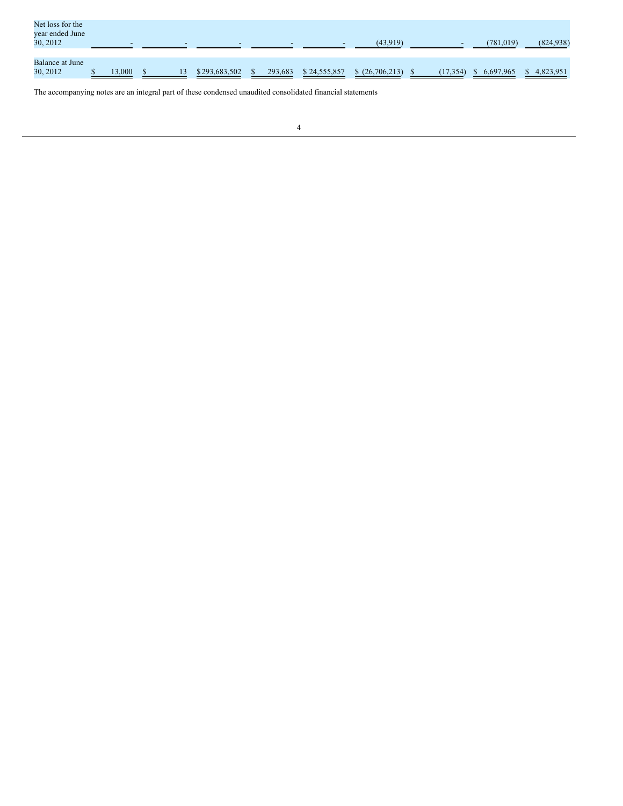| Net loss for the<br>year ended June<br>30, 2012 | -      | $\overline{\phantom{0}}$ |               |         | $\overline{\phantom{a}}$ | (43,919)        | $\overline{\phantom{a}}$ | (781,019) | (824, 938) |
|-------------------------------------------------|--------|--------------------------|---------------|---------|--------------------------|-----------------|--------------------------|-----------|------------|
| <b>Balance at June</b><br>30, 2012              | 13,000 | 13                       | \$293,683,502 | 293,683 | \$24,555,857             | \$ (26,706,213) | (17, 354)                | 6,697,965 | 4,823,951  |

The accompanying notes are an integral part of these condensed unaudited consolidated financial statements

<u> 1989 - Johann Harry Barn, mars ar breist ar yn y breis</u>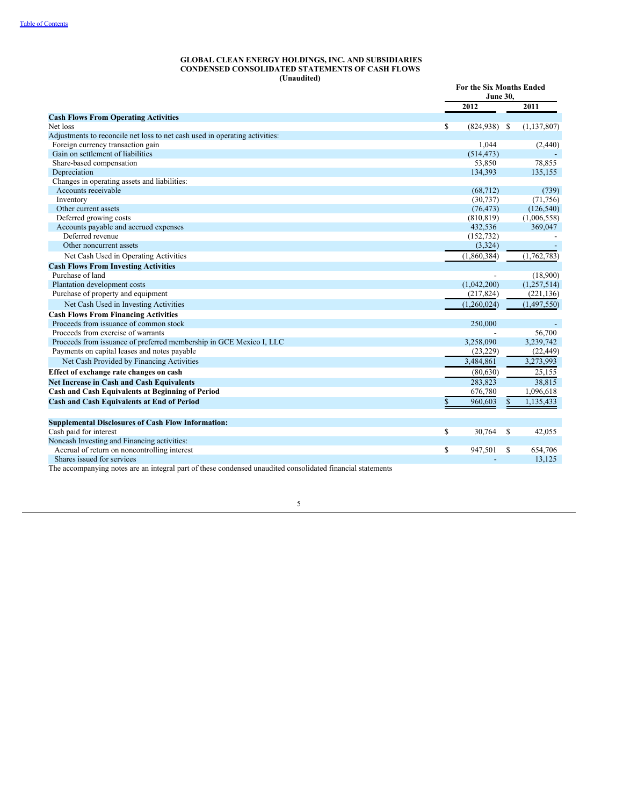#### **GLOBAL CLEAN ENERGY HOLDINGS, INC. AND SUBSIDIARIES CONDENSED CONSOLIDATED STATEMENTS OF CASH FLOWS (Unaudited)**

|                                                                                                            | For the Six Months Ended<br><b>June 30.</b> |    |               |
|------------------------------------------------------------------------------------------------------------|---------------------------------------------|----|---------------|
|                                                                                                            | 2012                                        |    | 2011          |
| <b>Cash Flows From Operating Activities</b>                                                                |                                             |    |               |
| Net loss                                                                                                   | \$<br>$(824,938)$ \$                        |    | (1, 137, 807) |
| Adjustments to reconcile net loss to net cash used in operating activities:                                |                                             |    |               |
| Foreign currency transaction gain                                                                          | 1,044                                       |    | (2,440)       |
| Gain on settlement of liabilities                                                                          | (514, 473)                                  |    |               |
| Share-based compensation                                                                                   | 53,850                                      |    | 78,855        |
| Depreciation                                                                                               | 134,393                                     |    | 135,155       |
| Changes in operating assets and liabilities:                                                               |                                             |    |               |
| Accounts receivable                                                                                        | (68, 712)                                   |    | (739)         |
| Inventory                                                                                                  | (30, 737)                                   |    | (71, 756)     |
| Other current assets                                                                                       | (76, 473)                                   |    | (126, 540)    |
| Deferred growing costs                                                                                     | (810, 819)                                  |    | (1,006,558)   |
| Accounts payable and accrued expenses                                                                      | 432,536                                     |    | 369,047       |
| Deferred revenue                                                                                           | (152, 732)                                  |    |               |
| Other noncurrent assets                                                                                    | (3,324)                                     |    |               |
| Net Cash Used in Operating Activities                                                                      | (1,860,384)                                 |    | (1,762,783)   |
| <b>Cash Flows From Investing Activities</b>                                                                |                                             |    |               |
| Purchase of land                                                                                           |                                             |    | (18,900)      |
| Plantation development costs                                                                               | (1,042,200)                                 |    | (1,257,514)   |
| Purchase of property and equipment                                                                         | (217, 824)                                  |    | (221, 136)    |
| Net Cash Used in Investing Activities                                                                      | (1,260,024)                                 |    | (1,497,550)   |
| <b>Cash Flows From Financing Activities</b>                                                                |                                             |    |               |
| Proceeds from issuance of common stock                                                                     | 250,000                                     |    |               |
| Proceeds from exercise of warrants                                                                         |                                             |    | 56,700        |
| Proceeds from issuance of preferred membership in GCE Mexico I, LLC                                        | 3,258,090                                   |    | 3,239,742     |
| Payments on capital leases and notes payable                                                               | (23, 229)                                   |    | (22, 449)     |
| Net Cash Provided by Financing Activities                                                                  | 3,484,861                                   |    | 3,273,993     |
| Effect of exchange rate changes on cash                                                                    | (80, 630)                                   |    | 25,155        |
| <b>Net Increase in Cash and Cash Equivalents</b>                                                           | 283,823                                     |    | 38,815        |
| Cash and Cash Equivalents at Beginning of Period                                                           | 676,780                                     |    | 1,096,618     |
| <b>Cash and Cash Equivalents at End of Period</b>                                                          | \$<br>960,603                               | \$ | 1,135,433     |
| <b>Supplemental Disclosures of Cash Flow Information:</b>                                                  |                                             |    |               |
| Cash paid for interest                                                                                     | \$<br>30,764                                | S  | 42,055        |
| Noncash Investing and Financing activities:                                                                |                                             |    |               |
| Accrual of return on noncontrolling interest                                                               | \$<br>947,501                               | \$ | 654,706       |
| Shares issued for services                                                                                 |                                             |    | 13,125        |
| The accompanying notes are an integral part of these condensed unaudited consolidated financial statements |                                             |    |               |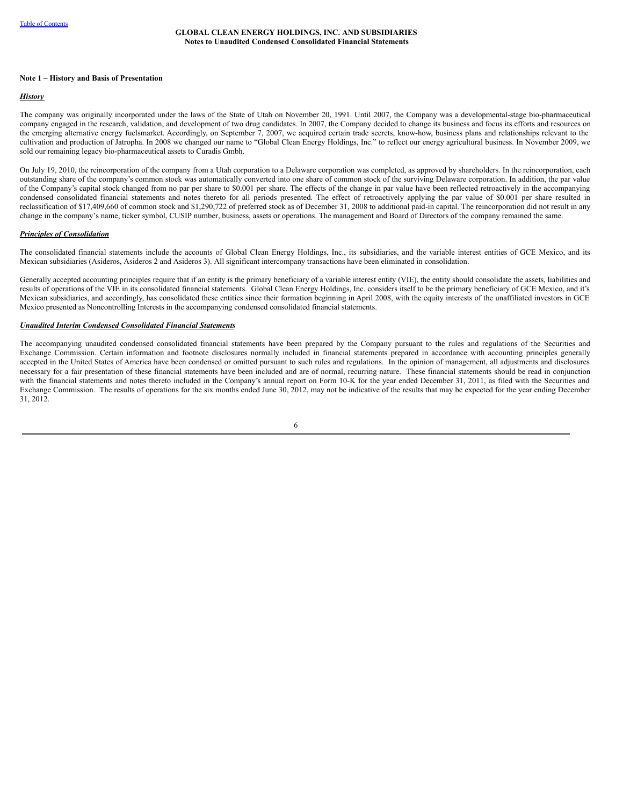#### **Note 1 – History and Basis of Presentation**

## *History*

The company was originally incorporated under the laws of the State of Utah on November 20, 1991. Until 2007, the Company was a developmental-stage bio-pharmaceutical company engaged in the research, validation, and development of two drug candidates. In 2007, the Company decided to change its business and focus its efforts and resources on the emerging alternative energy fuelsmarket. Accordingly, on September 7, 2007, we acquired certain trade secrets, know-how, business plans and relationships relevant to the cultivation and production of Jatropha. In 2008 we changed our name to "Global Clean Energy Holdings, Inc." to reflect our energy agricultural business. In November 2009, we sold our remaining legacy bio-pharmaceutical assets to Curadis Gmbh.

On July 19, 2010, the reincorporation of the company from a Utah corporation to a Delaware corporation was completed, as approved by shareholders. In the reincorporation, each outstanding share of the company's common stock was automatically converted into one share of common stock of the surviving Delaware corporation. In addition, the par value of the Company's capital stock changed from no par per share to \$0.001 per share. The effects of the change in par value have been reflected retroactively in the accompanying condensed consolidated financial statements and notes thereto for all periods presented. The effect of retroactively applying the par value of \$0.001 per share resulted in reclassification of \$17,409,660 of common stock and \$1,290,722 of preferred stock as of December 31, 2008 to additional paid-in capital. The reincorporation did not result in any change in the company's name, ticker symbol, CUSIP number, business, assets or operations. The management and Board of Directors of the company remained the same.

#### *Principles of Consolidation*

The consolidated financial statements include the accounts of Global Clean Energy Holdings, Inc., its subsidiaries, and the variable interest entities of GCE Mexico, and its Mexican subsidiaries (Asideros, Asideros 2 and Asideros 3). All significant intercompany transactions have been eliminated in consolidation.

Generally accepted accounting principles require that if an entity is the primary beneficiary of a variable interest entity (VIE), the entity should consolidate the assets, liabilities and results of operations of the VIE in its consolidated financial statements. Global Clean Energy Holdings, Inc. considers itself to be the primary beneficiary of GCE Mexico, and it's Mexican subsidiaries, and accordingly, has consolidated these entities since their formation beginning in April 2008, with the equity interests of the unaffiliated investors in GCE Mexico presented as Noncontrolling Interests in the accompanying condensed consolidated financial statements.

#### *Unaudited Interim Condensed Consolidated Financial Statements*

The accompanying unaudited condensed consolidated financial statements have been prepared by the Company pursuant to the rules and regulations of the Securities and Exchange Commission. Certain information and footnote disclosures normally included in financial statements prepared in accordance with accounting principles generally accepted in the United States of America have been condensed or omitted pursuant to such rules and regulations. In the opinion of management, all adjustments and disclosures necessary for a fair presentation of these financial statements have been included and are of normal, recurring nature. These financial statements should be read in conjunction with the financial statements and notes thereto included in the Company's annual report on Form 10-K for the year ended December 31, 2011, as filed with the Securities and Exchange Commission. The results of operations for the six months ended June 30, 2012, may not be indicative of the results that may be expected for the year ending December 31, 2012.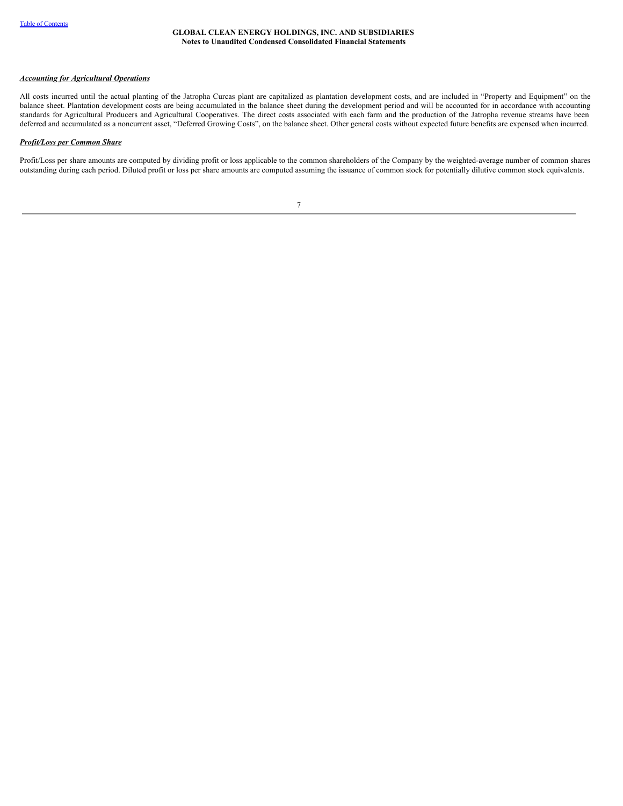## *Accounting for Agricultural Operations*

All costs incurred until the actual planting of the Jatropha Curcas plant are capitalized as plantation development costs, and are included in "Property and Equipment" on the balance sheet. Plantation development costs are being accumulated in the balance sheet during the development period and will be accounted for in accordance with accounting standards for Agricultural Producers and Agricultural Cooperatives. The direct costs associated with each farm and the production of the Jatropha revenue streams have been deferred and accumulated as a noncurrent asset, "Deferred Growing Costs", on the balance sheet. Other general costs without expected future benefits are expensed when incurred.

#### *Profit/Loss per Common Share*

Profit/Loss per share amounts are computed by dividing profit or loss applicable to the common shareholders of the Company by the weighted-average number of common shares outstanding during each period. Diluted profit or loss per share amounts are computed assuming the issuance of common stock for potentially dilutive common stock equivalents.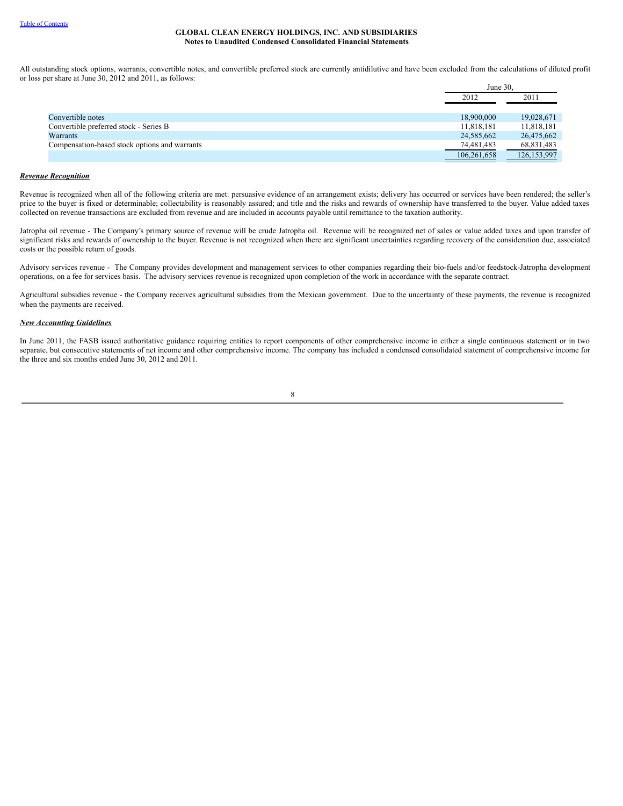All outstanding stock options, warrants, convertible notes, and convertible preferred stock are currently antidilutive and have been excluded from the calculations of diluted profit or loss per share at June 30, 2012 and 2011, as follows:

|                                               | June 30.    |               |
|-----------------------------------------------|-------------|---------------|
|                                               | 2012        | 2011          |
|                                               |             |               |
| Convertible notes                             | 18,900,000  | 19,028,671    |
| Convertible preferred stock - Series B        | 11,818,181  | 11,818,181    |
| Warrants                                      | 24,585,662  | 26,475,662    |
| Compensation-based stock options and warrants | 74,481,483  | 68,831,483    |
|                                               | 106,261,658 | 126, 153, 997 |

#### *Revenue Recognition*

Revenue is recognized when all of the following criteria are met: persuasive evidence of an arrangement exists; delivery has occurred or services have been rendered; the seller's price to the buyer is fixed or determinable; collectability is reasonably assured; and title and the risks and rewards of ownership have transferred to the buyer. Value added taxes collected on revenue transactions are excluded from revenue and are included in accounts payable until remittance to the taxation authority.

Jatropha oil revenue - The Company's primary source of revenue will be crude Jatropha oil. Revenue will be recognized net of sales or value added taxes and upon transfer of significant risks and rewards of ownership to the buyer. Revenue is not recognized when there are significant uncertainties regarding recovery of the consideration due, associated costs or the possible return of goods.

Advisory services revenue - The Company provides development and management services to other companies regarding their bio-fuels and/or feedstock-Jatropha development operations, on a fee for services basis. The advisory services revenue is recognized upon completion of the work in accordance with the separate contract.

Agricultural subsidies revenue - the Company receives agricultural subsidies from the Mexican government. Due to the uncertainty of these payments, the revenue is recognized when the payments are received.

## *New Accounting Guidelines*

In June 2011, the FASB issued authoritative guidance requiring entities to report components of other comprehensive income in either a single continuous statement or in two separate, but consecutive statements of net income and other comprehensive income. The company has included a condensed consolidated statement of comprehensive income for the three and six months ended June 30, 2012 and 2011.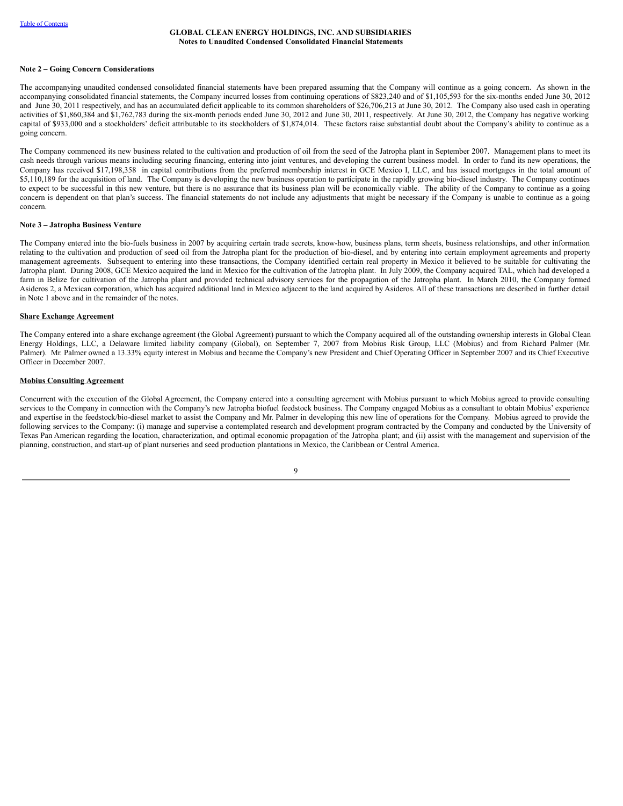#### **Note 2 – Going Concern Considerations**

The accompanying unaudited condensed consolidated financial statements have been prepared assuming that the Company will continue as a going concern. As shown in the accompanying consolidated financial statements, the Company incurred losses from continuing operations of \$823,240 and of \$1,105,593 for the six-months ended June 30, 2012 and June 30, 2011 respectively, and has an accumulated deficit applicable to its common shareholders of \$26,706,213 at June 30, 2012. The Company also used cash in operating activities of \$1,860,384 and \$1,762,783 during the six-month periods ended June 30, 2012 and June 30, 2011, respectively. At June 30, 2012, the Company has negative working capital of \$933,000 and a stockholders' deficit attributable to its stockholders of \$1,874,014. These factors raise substantial doubt about the Company's ability to continue as a going concern.

The Company commenced its new business related to the cultivation and production of oil from the seed of the Jatropha plant in September 2007. Management plans to meet its cash needs through various means including securing financing, entering into joint ventures, and developing the current business model. In order to fund its new operations, the Company has received \$17,198,358 in capital contributions from the preferred membership interest in GCE Mexico I, LLC, and has issued mortgages in the total amount of \$5,110,189 for the acquisition of land. The Company is developing the new business operation to participate in the rapidly growing bio-diesel industry. The Company continues to expect to be successful in this new venture, but there is no assurance that its business plan will be economically viable. The ability of the Company to continue as a going concern is dependent on that plan's success. The financial statements do not include any adjustments that might be necessary if the Company is unable to continue as a going concern.

#### **Note 3 – Jatropha Business Venture**

The Company entered into the bio-fuels business in 2007 by acquiring certain trade secrets, know-how, business plans, term sheets, business relationships, and other information relating to the cultivation and production of seed oil from the Jatropha plant for the production of bio-diesel, and by entering into certain employment agreements and property management agreements. Subsequent to entering into these transactions, the Company identified certain real property in Mexico it believed to be suitable for cultivating the Jatropha plant. During 2008, GCE Mexico acquired the land in Mexico for the cultivation of the Jatropha plant. In July 2009, the Company acquired TAL, which had developed a farm in Belize for cultivation of the Jatropha plant and provided technical advisory services for the propagation of the Jatropha plant. In March 2010, the Company formed Asideros 2, a Mexican corporation, which has acquired additional land in Mexico adjacent to the land acquired by Asideros. All of these transactions are described in further detail in Note 1 above and in the remainder of the notes.

#### **Share Exchange Agreement**

The Company entered into a share exchange agreement (the Global Agreement) pursuant to which the Company acquired all of the outstanding ownership interests in Global Clean Energy Holdings, LLC, a Delaware limited liability company (Global), on September 7, 2007 from Mobius Risk Group, LLC (Mobius) and from Richard Palmer (Mr. Palmer). Mr. Palmer owned a 13.33% equity interest in Mobius and became the Company's new President and Chief Operating Officer in September 2007 and its Chief Executive Officer in December 2007.

#### **Mobius Consulting Agreement**

Concurrent with the execution of the Global Agreement, the Company entered into a consulting agreement with Mobius pursuant to which Mobius agreed to provide consulting services to the Company in connection with the Company's new Jatropha biofuel feedstock business. The Company engaged Mobius as a consultant to obtain Mobius' experience and expertise in the feedstock/bio-diesel market to assist the Company and Mr. Palmer in developing this new line of operations for the Company. Mobius agreed to provide the following services to the Company: (i) manage and supervise a contemplated research and development program contracted by the Company and conducted by the University of Texas Pan American regarding the location, characterization, and optimal economic propagation of the Jatropha plant; and (ii) assist with the management and supervision of the planning, construction, and start-up of plant nurseries and seed production plantations in Mexico, the Caribbean or Central America.

 $\overline{Q}$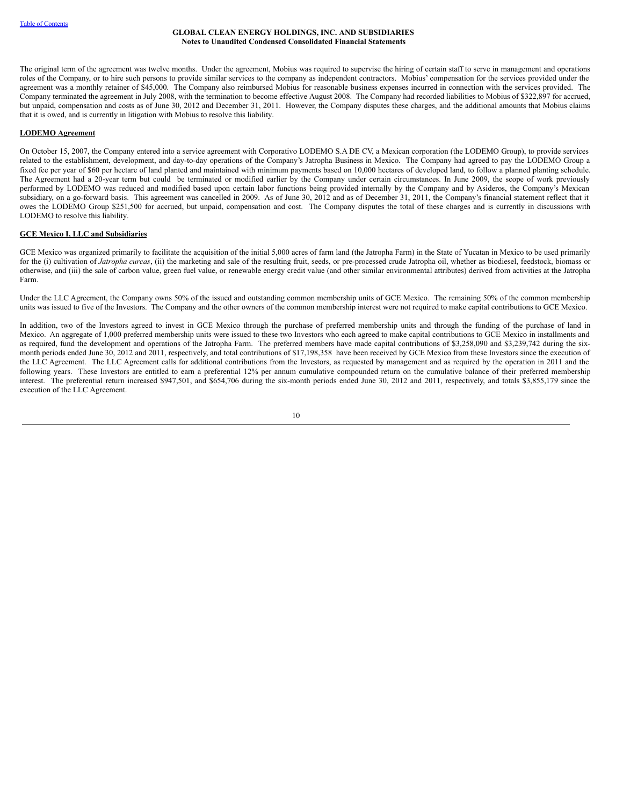The original term of the agreement was twelve months. Under the agreement, Mobius was required to supervise the hiring of certain staff to serve in management and operations roles of the Company, or to hire such persons to provide similar services to the company as independent contractors. Mobius' compensation for the services provided under the agreement was a monthly retainer of \$45,000. The Company also reimbursed Mobius for reasonable business expenses incurred in connection with the services provided. The Company terminated the agreement in July 2008, with the termination to become effective August 2008. The Company had recorded liabilities to Mobius of \$322,897 for accrued, but unpaid, compensation and costs as of June 30, 2012 and December 31, 2011. However, the Company disputes these charges, and the additional amounts that Mobius claims that it is owed, and is currently in litigation with Mobius to resolve this liability.

## **LODEMO Agreement**

On October 15, 2007, the Company entered into a service agreement with Corporativo LODEMO S.A DE CV, a Mexican corporation (the LODEMO Group), to provide services related to the establishment, development, and day-to-day operations of the Company's Jatropha Business in Mexico. The Company had agreed to pay the LODEMO Group a fixed fee per year of \$60 per hectare of land planted and maintained with minimum payments based on 10,000 hectares of developed land, to follow a planned planting schedule. The Agreement had a 20-year term but could be terminated or modified earlier by the Company under certain circumstances. In June 2009, the scope of work previously performed by LODEMO was reduced and modified based upon certain labor functions being provided internally by the Company and by Asideros, the Company's Mexican subsidiary, on a go-forward basis. This agreement was cancelled in 2009. As of June 30, 2012 and as of December 31, 2011, the Company's financial statement reflect that it owes the LODEMO Group \$251,500 for accrued, but unpaid, compensation and cost. The Company disputes the total of these charges and is currently in discussions with LODEMO to resolve this liability.

## **GCE Mexico I, LLC and Subsidiaries**

GCE Mexico was organized primarily to facilitate the acquisition of the initial 5,000 acres of farm land (the Jatropha Farm) in the State of Yucatan in Mexico to be used primarily for the (i) cultivation of *Jatropha curcas*, (ii) the marketing and sale of the resulting fruit, seeds, or pre-processed crude Jatropha oil, whether as biodiesel, feedstock, biomass or otherwise, and (iii) the sale of carbon value, green fuel value, or renewable energy credit value (and other similar environmental attributes) derived from activities at the Jatropha Farm.

Under the LLC Agreement, the Company owns 50% of the issued and outstanding common membership units of GCE Mexico. The remaining 50% of the common membership units was issued to five of the Investors. The Company and the other owners of the common membership interest were not required to make capital contributions to GCE Mexico.

In addition, two of the Investors agreed to invest in GCE Mexico through the purchase of preferred membership units and through the funding of the purchase of land in Mexico. An aggregate of 1,000 preferred membership units were issued to these two Investors who each agreed to make capital contributions to GCE Mexico in installments and as required, fund the development and operations of the Jatropha Farm. The preferred members have made capital contributions of \$3,258,090 and \$3,239,742 during the sixmonth periods ended June 30, 2012 and 2011, respectively, and total contributions of \$17,198,358 have been received by GCE Mexico from these Investors since the execution of the LLC Agreement. The LLC Agreement calls for additional contributions from the Investors, as requested by management and as required by the operation in 2011 and the following years. These Investors are entitled to earn a preferential 12% per annum cumulative compounded return on the cumulative balance of their preferred membership interest. The preferential return increased \$947,501, and \$654,706 during the six-month periods ended June 30, 2012 and 2011, respectively, and totals \$3,855,179 since the execution of the LLC Agreement.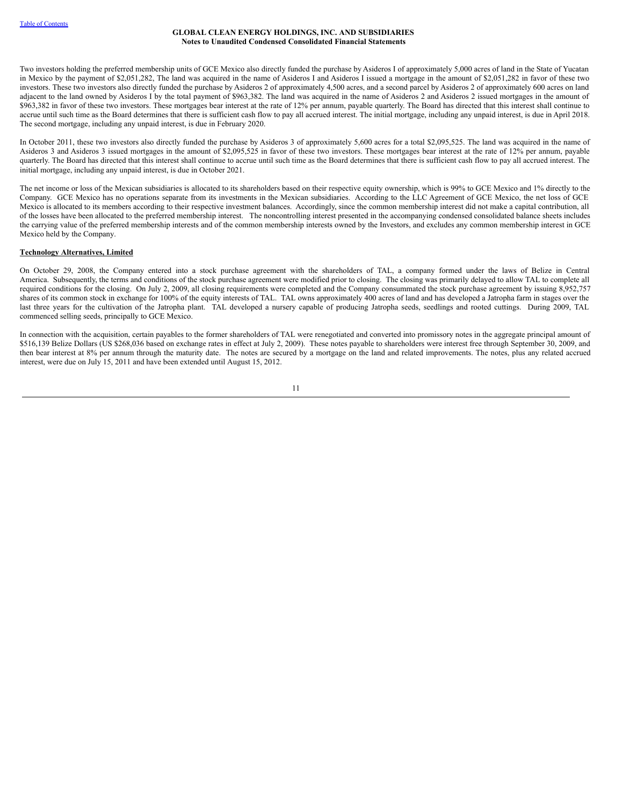Two investors holding the preferred membership units of GCE Mexico also directly funded the purchase by Asideros I of approximately 5,000 acres of land in the State of Yucatan in Mexico by the payment of \$2,051,282, The land was acquired in the name of Asideros I and Asideros I issued a mortgage in the amount of \$2,051,282 in favor of these two investors. These two investors also directly funded the purchase by Asideros 2 of approximately 4,500 acres, and a second parcel by Asideros 2 of approximately 600 acres on land adjacent to the land owned by Asideros I by the total payment of \$963,382. The land was acquired in the name of Asideros 2 and Asideros 2 issued mortgages in the amount of \$963,382 in favor of these two investors. These mortgages bear interest at the rate of 12% per annum, payable quarterly. The Board has directed that this interest shall continue to accrue until such time as the Board determines that there is sufficient cash flow to pay all accrued interest. The initial mortgage, including any unpaid interest, is due in April 2018. The second mortgage, including any unpaid interest, is due in February 2020.

In October 2011, these two investors also directly funded the purchase by Asideros 3 of approximately 5,600 acres for a total \$2,095,525. The land was acquired in the name of Asideros 3 and Asideros 3 issued mortgages in the amount of \$2,095,525 in favor of these two investors. These mortgages bear interest at the rate of 12% per annum, payable quarterly. The Board has directed that this interest shall continue to accrue until such time as the Board determines that there is sufficient cash flow to pay all accrued interest. The initial mortgage, including any unpaid interest, is due in October 2021.

The net income or loss of the Mexican subsidiaries is allocated to its shareholders based on their respective equity ownership, which is 99% to GCE Mexico and 1% directly to the Company. GCE Mexico has no operations separate from its investments in the Mexican subsidiaries. According to the LLC Agreement of GCE Mexico, the net loss of GCE Mexico is allocated to its members according to their respective investment balances. Accordingly, since the common membership interest did not make a capital contribution, all of the losses have been allocated to the preferred membership interest. The noncontrolling interest presented in the accompanying condensed consolidated balance sheets includes the carrying value of the preferred membership interests and of the common membership interests owned by the Investors, and excludes any common membership interest in GCE Mexico held by the Company.

## **Technology Alternatives, Limited**

On October 29, 2008, the Company entered into a stock purchase agreement with the shareholders of TAL, a company formed under the laws of Belize in Central America. Subsequently, the terms and conditions of the stock purchase agreement were modified prior to closing. The closing was primarily delayed to allow TAL to complete all required conditions for the closing. On July 2, 2009, all closing requirements were completed and the Company consummated the stock purchase agreement by issuing 8,952,757 shares of its common stock in exchange for 100% of the equity interests of TAL. TAL owns approximately 400 acres of land and has developed a Jatropha farm in stages over the last three years for the cultivation of the Jatropha plant. TAL developed a nursery capable of producing Jatropha seeds, seedlings and rooted cuttings. During 2009, TAL commenced selling seeds, principally to GCE Mexico.

In connection with the acquisition, certain payables to the former shareholders of TAL were renegotiated and converted into promissory notes in the aggregate principal amount of \$516,139 Belize Dollars (US \$268,036 based on exchange rates in effect at July 2, 2009). These notes payable to shareholders were interest free through September 30, 2009, and then bear interest at 8% per annum through the maturity date. The notes are secured by a mortgage on the land and related improvements. The notes, plus any related accrued interest, were due on July 15, 2011 and have been extended until August 15, 2012.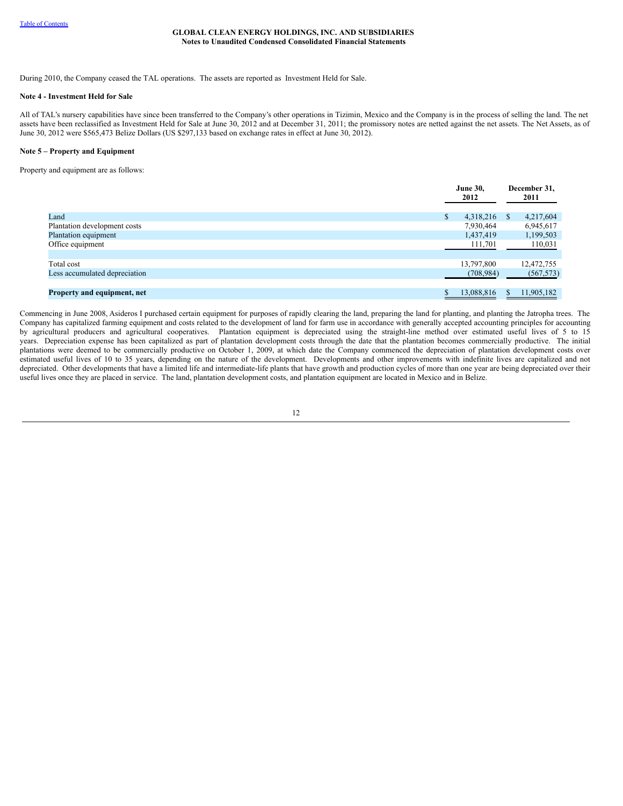During 2010, the Company ceased the TAL operations. The assets are reported as Investment Held for Sale.

## **Note 4 - Investment Held for Sale**

All of TAL's nursery capabilities have since been transferred to the Company's other operations in Tizimin, Mexico and the Company is in the process of selling the land. The net assets have been reclassified as Investment Held for Sale at June 30, 2012 and at December 31, 2011; the promissory notes are netted against the net assets. The Net Assets, as of June 30, 2012 were \$565,473 Belize Dollars (US \$297,133 based on exchange rates in effect at June 30, 2012).

#### **Note 5 – Property and Equipment**

Property and equipment are as follows:

|                               |              | <b>June 30,</b><br>2012 |    | December 31,<br>2011 |
|-------------------------------|--------------|-------------------------|----|----------------------|
| Land                          | $\mathbb{S}$ | 4,318,216               | S. | 4,217,604            |
| Plantation development costs  |              | 7,930,464               |    | 6,945,617            |
| Plantation equipment          |              | 1,437,419               |    | 1,199,503            |
| Office equipment              |              | 111,701                 |    | 110,031              |
|                               |              |                         |    |                      |
| Total cost                    |              | 13,797,800              |    | 12,472,755           |
| Less accumulated depreciation |              | (708, 984)              |    | (567, 573)           |
|                               |              |                         |    |                      |
| Property and equipment, net   |              | 13,088,816              | S. | 11,905,182           |

Commencing in June 2008, Asideros I purchased certain equipment for purposes of rapidly clearing the land, preparing the land for planting, and planting the Jatropha trees. The Company has capitalized farming equipment and costs related to the development of land for farm use in accordance with generally accepted accounting principles for accounting by agricultural producers and agricultural cooperatives. Plantation equipment is depreciated using the straight-line method over estimated useful lives of 5 to 15 years. Depreciation expense has been capitalized as part of plantation development costs through the date that the plantation becomes commercially productive. The initial plantations were deemed to be commercially productive on October 1, 2009, at which date the Company commenced the depreciation of plantation development costs over estimated useful lives of 10 to 35 years, depending on the nature of the development. Developments and other improvements with indefinite lives are capitalized and not depreciated. Other developments that have a limited life and intermediate-life plants that have growth and production cycles of more than one year are being depreciated over their useful lives once they are placed in service. The land, plantation development costs, and plantation equipment are located in Mexico and in Belize.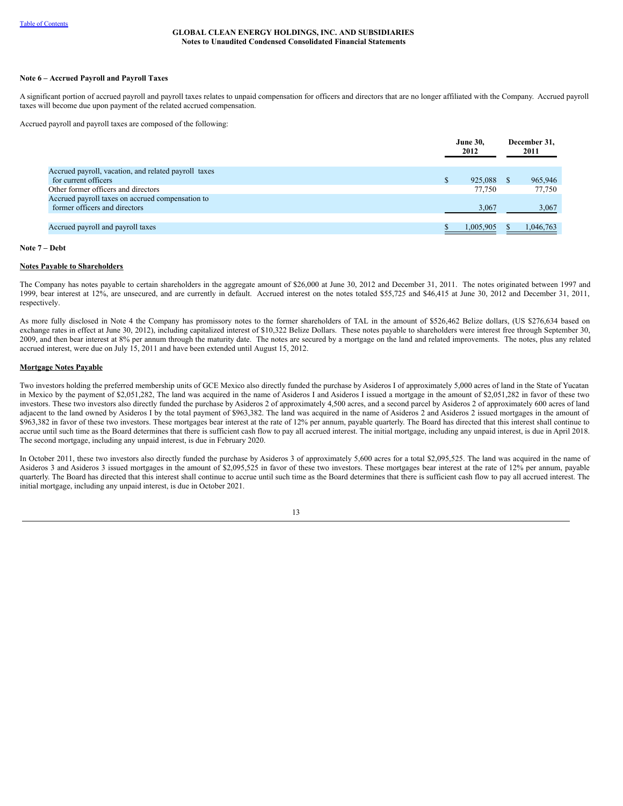## **Note 6 – Accrued Payroll and Payroll Taxes**

A significant portion of accrued payroll and payroll taxes relates to unpaid compensation for officers and directors that are no longer affiliated with the Company. Accrued payroll taxes will become due upon payment of the related accrued compensation.

Accrued payroll and payroll taxes are composed of the following:

|                                                      |               | <b>June 30.</b><br>2012 | December 31,<br>2011 |
|------------------------------------------------------|---------------|-------------------------|----------------------|
| Accrued payroll, vacation, and related payroll taxes |               |                         |                      |
| for current officers                                 | <sup>\$</sup> | 925,088                 | 965,946              |
| Other former officers and directors                  |               | 77.750                  | 77.750               |
| Accrued payroll taxes on accrued compensation to     |               |                         |                      |
| former officers and directors                        |               | 3,067                   | 3,067                |
|                                                      |               |                         |                      |
| Accrued payroll and payroll taxes                    |               | 1,005,905               | 1,046,763            |

#### **Note 7 – Debt**

#### **Notes Payable to Shareholders**

The Company has notes payable to certain shareholders in the aggregate amount of \$26,000 at June 30, 2012 and December 31, 2011. The notes originated between 1997 and 1999, bear interest at 12%, are unsecured, and are currently in default. Accrued interest on the notes totaled \$55,725 and \$46,415 at June 30, 2012 and December 31, 2011, respectively.

As more fully disclosed in Note 4 the Company has promissory notes to the former shareholders of TAL in the amount of \$526,462 Belize dollars, (US \$276,634 based on exchange rates in effect at June 30, 2012), including capitalized interest of \$10,322 Belize Dollars. These notes payable to shareholders were interest free through September 30, 2009, and then bear interest at 8% per annum through the maturity date. The notes are secured by a mortgage on the land and related improvements. The notes, plus any related accrued interest, were due on July 15, 2011 and have been extended until August 15, 2012.

#### **Mortgage Notes Payable**

Two investors holding the preferred membership units of GCE Mexico also directly funded the purchase by Asideros I of approximately 5,000 acres of land in the State of Yucatan in Mexico by the payment of \$2,051,282, The land was acquired in the name of Asideros I and Asideros I issued a mortgage in the amount of \$2,051,282 in favor of these two investors. These two investors also directly funded the purchase by Asideros 2 of approximately 4,500 acres, and a second parcel by Asideros 2 of approximately 600 acres of land adjacent to the land owned by Asideros I by the total payment of \$963,382. The land was acquired in the name of Asideros 2 and Asideros 2 issued mortgages in the amount of \$963,382 in favor of these two investors. These mortgages bear interest at the rate of 12% per annum, payable quarterly. The Board has directed that this interest shall continue to accrue until such time as the Board determines that there is sufficient cash flow to pay all accrued interest. The initial mortgage, including any unpaid interest, is due in April 2018. The second mortgage, including any unpaid interest, is due in February 2020.

In October 2011, these two investors also directly funded the purchase by Asideros 3 of approximately 5,600 acres for a total \$2,095,525. The land was acquired in the name of Asideros 3 and Asideros 3 issued mortgages in the amount of \$2,095,525 in favor of these two investors. These mortgages bear interest at the rate of 12% per annum, payable quarterly. The Board has directed that this interest shall continue to accrue until such time as the Board determines that there is sufficient cash flow to pay all accrued interest. The initial mortgage, including any unpaid interest, is due in October 2021.

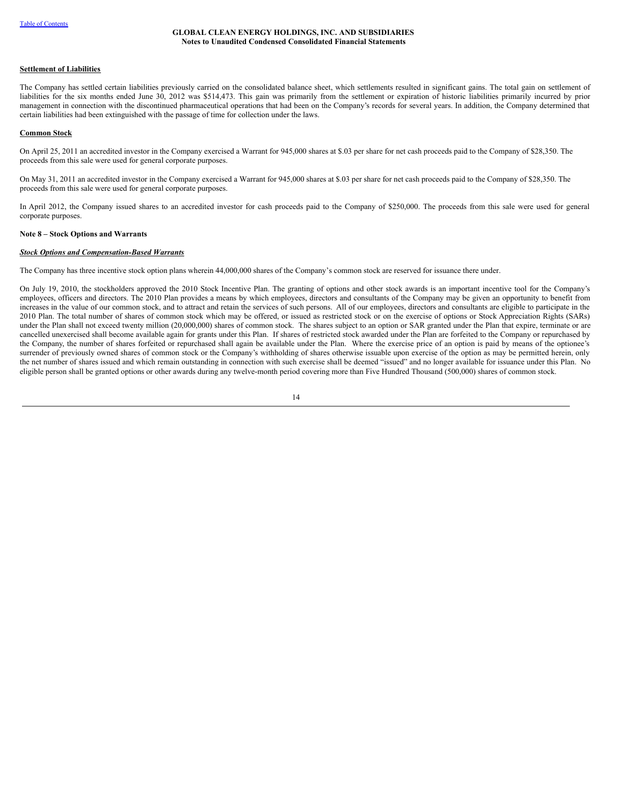#### **Settlement of Liabilities**

The Company has settled certain liabilities previously carried on the consolidated balance sheet, which settlements resulted in significant gains. The total gain on settlement of liabilities for the six months ended June 30, 2012 was \$514,473. This gain was primarily from the settlement or expiration of historic liabilities primarily incurred by prior management in connection with the discontinued pharmaceutical operations that had been on the Company's records for several years. In addition, the Company determined that certain liabilities had been extinguished with the passage of time for collection under the laws.

#### **Common Stock**

On April 25, 2011 an accredited investor in the Company exercised a Warrant for 945,000 shares at \$.03 per share for net cash proceeds paid to the Company of \$28,350. The proceeds from this sale were used for general corporate purposes.

On May 31, 2011 an accredited investor in the Company exercised a Warrant for 945,000 shares at \$.03 per share for net cash proceeds paid to the Company of \$28,350. The proceeds from this sale were used for general corporate purposes.

In April 2012, the Company issued shares to an accredited investor for cash proceeds paid to the Company of \$250,000. The proceeds from this sale were used for general corporate purposes.

## **Note 8 – Stock Options and Warrants**

#### *Stock Options and Compensation-Based Warrants*

The Company has three incentive stock option plans wherein 44,000,000 shares of the Company's common stock are reserved for issuance there under.

On July 19, 2010, the stockholders approved the 2010 Stock Incentive Plan. The granting of options and other stock awards is an important incentive tool for the Company's employees, officers and directors. The 2010 Plan provides a means by which employees, directors and consultants of the Company may be given an opportunity to benefit from increases in the value of our common stock, and to attract and retain the services of such persons. All of our employees, directors and consultants are eligible to participate in the 2010 Plan. The total number of shares of common stock which may be offered, or issued as restricted stock or on the exercise of options or Stock Appreciation Rights (SARs) under the Plan shall not exceed twenty million (20,000,000) shares of common stock. The shares subject to an option or SAR granted under the Plan that expire, terminate or are cancelled unexercised shall become available again for grants under this Plan. If shares of restricted stock awarded under the Plan are forfeited to the Company or repurchased by the Company, the number of shares forfeited or repurchased shall again be available under the Plan. Where the exercise price of an option is paid by means of the optionee's surrender of previously owned shares of common stock or the Company's withholding of shares otherwise issuable upon exercise of the option as may be permitted herein, only the net number of shares issued and which remain outstanding in connection with such exercise shall be deemed "issued" and no longer available for issuance under this Plan. No eligible person shall be granted options or other awards during any twelve-month period covering more than Five Hundred Thousand (500,000) shares of common stock.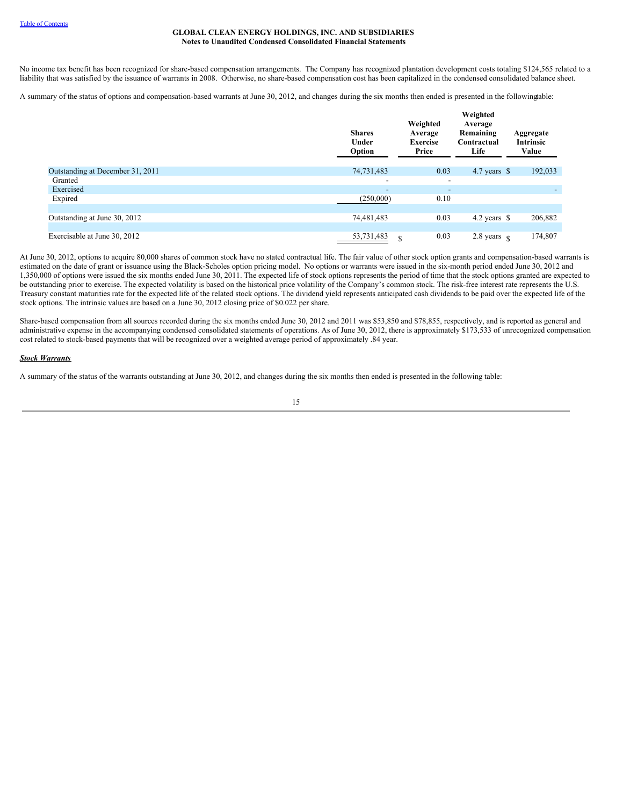No income tax benefit has been recognized for share-based compensation arrangements. The Company has recognized plantation development costs totaling \$124,565 related to a liability that was satisfied by the issuance of warrants in 2008. Otherwise, no share-based compensation cost has been capitalized in the condensed consolidated balance sheet.

A summary of the status of options and compensation-based warrants at June 30, 2012, and changes during the six months then ended is presented in the followingtable:

|                                  | <b>Shares</b><br>Under<br>Option | Weighted<br>Average<br><b>Exercise</b><br>Price | Weighted<br>Average<br>Remaining<br>Contractual<br>Life | Aggregate<br>Intrinsic<br>Value |
|----------------------------------|----------------------------------|-------------------------------------------------|---------------------------------------------------------|---------------------------------|
| Outstanding at December 31, 2011 | 74,731,483                       | 0.03                                            | 4.7 years $\$$                                          | 192,033                         |
| Granted                          | $\overline{\phantom{0}}$         | $\overline{\phantom{a}}$                        |                                                         |                                 |
| Exercised                        | $\overline{\phantom{a}}$         | $\overline{\phantom{a}}$                        |                                                         |                                 |
| Expired                          | (250,000)                        | 0.10                                            |                                                         |                                 |
|                                  |                                  |                                                 |                                                         |                                 |
| Outstanding at June 30, 2012     | 74,481,483                       | 0.03                                            | 4.2 years $\$$                                          | 206,882                         |
|                                  |                                  |                                                 |                                                         |                                 |
| Exercisable at June 30, 2012     | 53,731,483<br>S                  | 0.03                                            | 2.8 years $\,$ s                                        | 174,807                         |

At June 30, 2012, options to acquire 80,000 shares of common stock have no stated contractual life. The fair value of other stock option grants and compensation-based warrants is estimated on the date of grant or issuance using the Black-Scholes option pricing model. No options or warrants were issued in the six-month period ended June 30, 2012 and 1,350,000 of options were issued the six months ended June 30, 2011. The expected life of stock options represents the period of time that the stock options granted are expected to be outstanding prior to exercise. The expected volatility is based on the historical price volatility of the Company's common stock. The risk-free interest rate represents the U.S. Treasury constant maturities rate for the expected life of the related stock options. The dividend yield represents anticipated cash dividends to be paid over the expected life of the stock options. The intrinsic values are based on a June 30, 2012 closing price of \$0.022 per share.

Share-based compensation from all sources recorded during the six months ended June 30, 2012 and 2011 was \$53,850 and \$78,855, respectively, and is reported as general and administrative expense in the accompanying condensed consolidated statements of operations. As of June 30, 2012, there is approximately \$173,533 of unrecognized compensation cost related to stock-based payments that will be recognized over a weighted average period of approximately .84 year.

## *Stock Warrants*

A summary of the status of the warrants outstanding at June 30, 2012, and changes during the six months then ended is presented in the following table: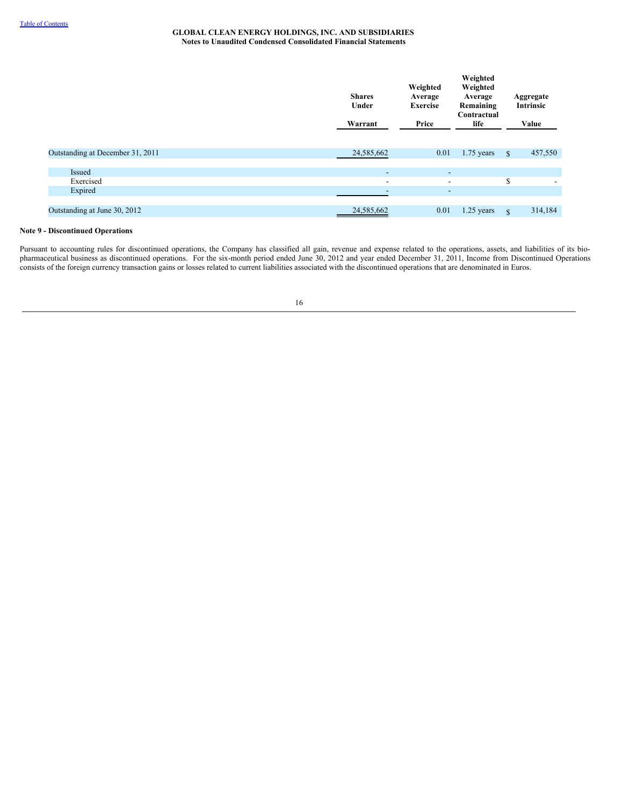|                                  | <b>Shares</b><br>Under<br>Warrant | Weighted<br>Average<br><b>Exercise</b><br>Price | Weighted<br>Weighted<br>Average<br>Remaining<br>Contractual<br>life |      | Aggregate<br><b>Intrinsic</b><br>Value |
|----------------------------------|-----------------------------------|-------------------------------------------------|---------------------------------------------------------------------|------|----------------------------------------|
| Outstanding at December 31, 2011 | 24,585,662                        | 0.01                                            | $1.75$ years                                                        | - \$ | 457,550                                |
|                                  |                                   |                                                 |                                                                     |      |                                        |
| <b>Issued</b>                    | $\overline{\phantom{a}}$          | $\overline{\phantom{a}}$                        |                                                                     |      |                                        |
| Exercised                        | $\overline{\phantom{a}}$          | $\overline{\phantom{a}}$                        |                                                                     | S    |                                        |
| Expired                          | $\overline{\phantom{0}}$          | $\overline{\phantom{a}}$                        |                                                                     |      |                                        |
|                                  |                                   |                                                 |                                                                     |      |                                        |
| Outstanding at June 30, 2012     | 24,585,662                        | 0.01                                            | 1.25 years                                                          | S    | 314,184                                |

## **Note 9 - Discontinued Operations**

Pursuant to accounting rules for discontinued operations, the Company has classified all gain, revenue and expense related to the operations, assets, and liabilities of its biopharmaceutical business as discontinued operations. For the six-month period ended June 30, 2012 and year ended December 31, 2011, Income from Discontinued Operations consists of the foreign currency transaction gains or losses related to current liabilities associated with the discontinued operations that are denominated in Euros.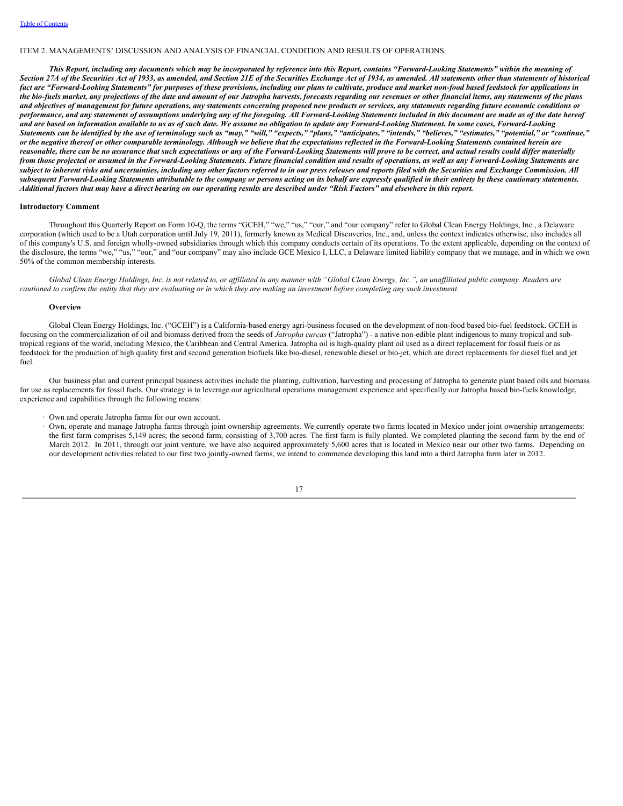#### <span id="page-19-0"></span>ITEM 2. MANAGEMENTS' DISCUSSION AND ANALYSIS OF FINANCIAL CONDITION AND RESULTS OF OPERATIONS.

This Report, including any documents which may be incorporated by reference into this Report, contains "Forward-Looking Statements" within the meaning of Section 27A of the Securities Act of 1933, as amended, and Section 21E of the Securities Exchange Act of 1934, as amended. All statements other than statements of historical fact are "Forward-Looking Statements" for purposes of these provisions, including our plans to cultivate, produce and market non-food based feedstock for applications in the bio-fuels market, any projections of the date and amount of our Jatropha harvests, forecasts regarding our revenues or other financial items, any statements of the plans and objectives of management for future operations, any statements concerning proposed new products or services, any statements regarding future economic conditions or performance, and any statements of assumptions underlying any of the foregoing. All Forward-Looking Statements included in this document are made as of the date hereof and are based on information available to us as of such date. We assume no obligation to update any Forward-Looking Statement. In some cases, Forward-Looking Statements can be identified by the use of terminology such as "may," "will," "expects," "plans," "anticipates," "intends," "believes," "estimates," "potential," or "continue," or the negative thereof or other comparable terminology. Although we believe that the expectations reflected in the Forward-Looking Statements contained herein are reasonable, there can be no assurance that such expectations or any of the Forward-Looking Statements will prove to be correct, and actual results could differ materially from those projected or assumed in the Forward-Looking Statements. Future financial condition and results of operations, as well as any Forward-Looking Statements are subject to inherent risks and uncertainties, including any other factors referred to in our press releases and reports filed with the Securities and Exchange Commission. All subsequent Forward-Looking Statements attributable to the company or persons acting on its behalf are expressly qualified in their entirety by these cautionary statements. Additional factors that may have a direct bearing on our operating results are described under "Risk Factors" and elsewhere in this report.

## **Introductory Comment**

Throughout this Quarterly Report on Form 10-Q, the terms "GCEH," "we," "us," "our," and "our company" refer to Global Clean Energy Holdings, Inc., a Delaware corporation (which used to be a Utah corporation until July 19, 2011), formerly known as Medical Discoveries, Inc., and, unless the context indicates otherwise, also includes all of this company's U.S. and foreign wholly-owned subsidiaries through which this company conducts certain of its operations. To the extent applicable, depending on the context of the disclosure, the terms "we," "us," "our," and "our company" may also include GCE Mexico I, LLC, a Delaware limited liability company that we manage, and in which we own 50% of the common membership interests.

Global Clean Energy Holdings, Inc. is not related to, or affiliated in any manner with "Global Clean Energy, Inc.", an unaffiliated public company. Readers are cautioned to confirm the entity that they are evaluating or in which they are making an investment before completing any such investment.

#### **Overview**

Global Clean Energy Holdings, Inc. ("GCEH") is a California-based energy agri-business focused on the development of non-food based bio-fuel feedstock. GCEH is focusing on the commercialization of oil and biomass derived from the seeds of *Jatropha curcas* ("Jatropha") - a native non-edible plant indigenous to many tropical and subtropical regions of the world, including Mexico, the Caribbean and Central America. Jatropha oil is high-quality plant oil used as a direct replacement for fossil fuels or as feedstock for the production of high quality first and second generation biofuels like bio-diesel, renewable diesel or bio-jet, which are direct replacements for diesel fuel and jet fuel.

Our business plan and current principal business activities include the planting, cultivation, harvesting and processing of Jatropha to generate plant based oils and biomass for use as replacements for fossil fuels. Our strategy is to leverage our agricultural operations management experience and specifically our Jatropha based bio-fuels knowledge, experience and capabilities through the following means:

· Own and operate Jatropha farms for our own account.

· Own, operate and manage Jatropha farms through joint ownership agreements. We currently operate two farms located in Mexico under joint ownership arrangements: the first farm comprises 5,149 acres; the second farm, consisting of 3,700 acres. The first farm is fully planted. We completed planting the second farm by the end of March 2012. In 2011, through our joint venture, we have also acquired approximately 5,600 acres that is located in Mexico near our other two farms. Depending on our development activities related to our first two jointly-owned farms, we intend to commence developing this land into a third Jatropha farm later in 2012.

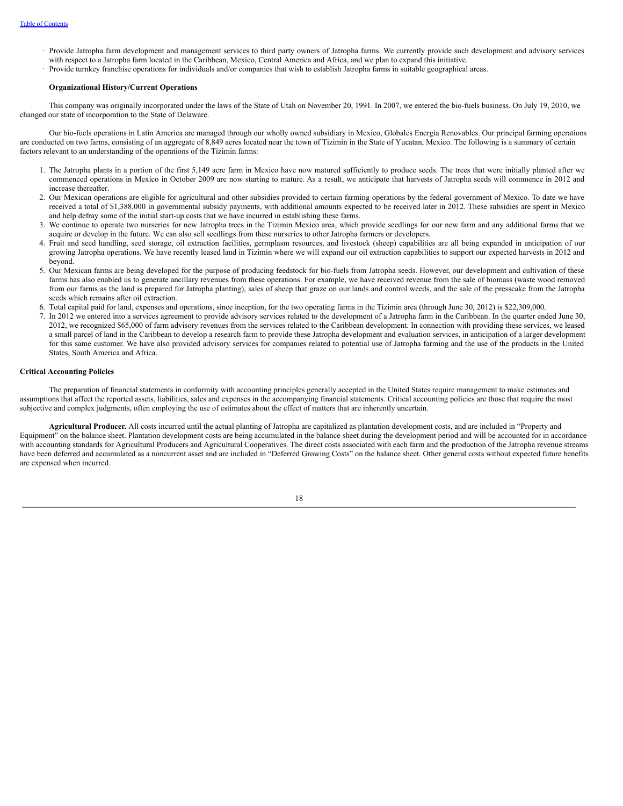- · Provide Jatropha farm development and management services to third party owners of Jatropha farms. We currently provide such development and advisory services with respect to a Jatropha farm located in the Caribbean, Mexico, Central America and Africa, and we plan to expand this initiative.
- · Provide turnkey franchise operations for individuals and/or companies that wish to establish Jatropha farms in suitable geographical areas.

#### **Organizational History/Current Operations**

This company was originally incorporated under the laws of the State of Utah on November 20, 1991. In 2007, we entered the bio-fuels business. On July 19, 2010, we changed our state of incorporation to the State of Delaware.

Our bio-fuels operations in Latin America are managed through our wholly owned subsidiary in Mexico, Globales Energia Renovables. Our principal farming operations are conducted on two farms, consisting of an aggregate of 8,849 acres located near the town of Tizimin in the State of Yucatan, Mexico. The following is a summary of certain factors relevant to an understanding of the operations of the Tizimin farms:

- 1. The Jatropha plants in a portion of the first 5,149 acre farm in Mexico have now matured sufficiently to produce seeds. The trees that were initially planted after we commenced operations in Mexico in October 2009 are now starting to mature. As a result, we anticipate that harvests of Jatropha seeds will commence in 2012 and increase thereafter.
- 2. Our Mexican operations are eligible for agricultural and other subsidies provided to certain farming operations by the federal government of Mexico. To date we have received a total of \$1,388,000 in governmental subsidy payments, with additional amounts expected to be received later in 2012. These subsidies are spent in Mexico and help defray some of the initial start-up costs that we have incurred in establishing these farms.
- 3. We continue to operate two nurseries for new Jatropha trees in the Tizimin Mexico area, which provide seedlings for our new farm and any additional farms that we acquire or develop in the future. We can also sell seedlings from these nurseries to other Jatropha farmers or developers.
- 4. Fruit and seed handling, seed storage, oil extraction facilities, germplasm resources, and livestock (sheep) capabilities are all being expanded in anticipation of our growing Jatropha operations. We have recently leased land in Tizimin where we will expand our oil extraction capabilities to support our expected harvests in 2012 and beyond.
- 5. Our Mexican farms are being developed for the purpose of producing feedstock for bio-fuels from Jatropha seeds. However, our development and cultivation of these farms has also enabled us to generate ancillary revenues from these operations. For example, we have received revenue from the sale of biomass (waste wood removed from our farms as the land is prepared for Jatropha planting), sales of sheep that graze on our lands and control weeds, and the sale of the presscake from the Jatropha seeds which remains after oil extraction.
- 6. Total capital paid for land, expenses and operations, since inception, for the two operating farms in the Tizimin area (through June 30, 2012) is \$22,309,000.
- 7. In 2012 we entered into a services agreement to provide advisory services related to the development of a Jatropha farm in the Caribbean. In the quarter ended June 30, 2012, we recognized \$65,000 of farm advisory revenues from the services related to the Caribbean development. In connection with providing these services, we leased a small parcel of land in the Caribbean to develop a research farm to provide these Jatropha development and evaluation services, in anticipation of a larger development for this same customer. We have also provided advisory services for companies related to potential use of Jatropha farming and the use of the products in the United States, South America and Africa.

## **Critical Accounting Policies**

The preparation of financial statements in conformity with accounting principles generally accepted in the United States require management to make estimates and assumptions that affect the reported assets, liabilities, sales and expenses in the accompanying financial statements. Critical accounting policies are those that require the most subjective and complex judgments, often employing the use of estimates about the effect of matters that are inherently uncertain.

**Agricultural Producer***.* All costs incurred until the actual planting of Jatropha are capitalized as plantation development costs, and are included in "Property and Equipment" on the balance sheet. Plantation development costs are being accumulated in the balance sheet during the development period and will be accounted for in accordance with accounting standards for Agricultural Producers and Agricultural Cooperatives. The direct costs associated with each farm and the production of the Jatropha revenue streams have been deferred and accumulated as a noncurrent asset and are included in "Deferred Growing Costs" on the balance sheet. Other general costs without expected future benefits are expensed when incurred.

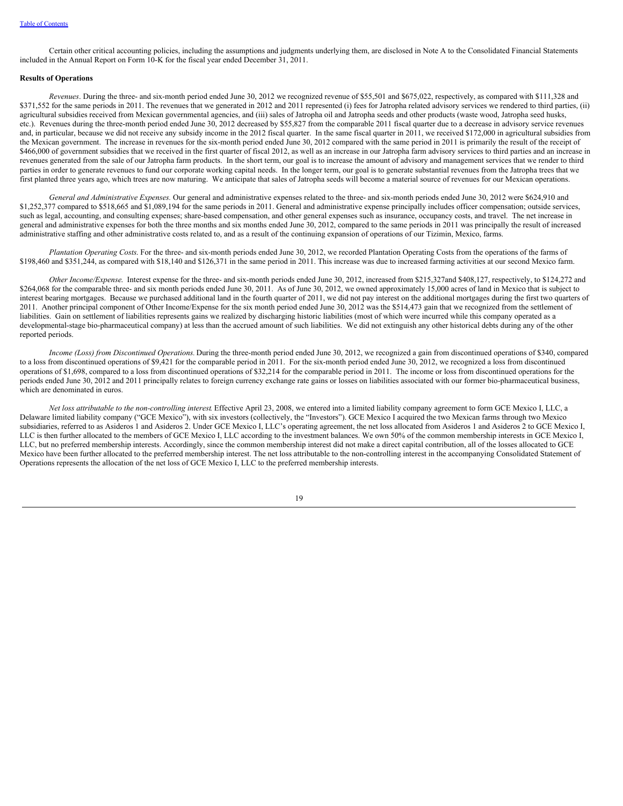Certain other critical accounting policies, including the assumptions and judgments underlying them, are disclosed in Note A to the Consolidated Financial Statements included in the Annual Report on Form 10-K for the fiscal year ended December 31, 2011.

## **Results of Operations**

*Revenues*. During the three- and six-month period ended June 30, 2012 we recognized revenue of \$55,501 and \$675,022, respectively, as compared with \$111,328 and \$371,552 for the same periods in 2011. The revenues that we generated in 2012 and 2011 represented (i) fees for Jatropha related advisory services we rendered to third parties, (ii) agricultural subsidies received from Mexican governmental agencies, and (iii) sales of Jatropha oil and Jatropha seeds and other products (waste wood, Jatropha seed husks, etc.). Revenues during the three-month period ended June 30, 2012 decreased by \$55,827 from the comparable 2011 fiscal quarter due to a decrease in advisory service revenues and, in particular, because we did not receive any subsidy income in the 2012 fiscal quarter. In the same fiscal quarter in 2011, we received \$172,000 in agricultural subsidies from the Mexican government. The increase in revenues for the six-month period ended June 30, 2012 compared with the same period in 2011 is primarily the result of the receipt of \$466,000 of government subsidies that we received in the first quarter of fiscal 2012, as well as an increase in our Jatropha farm advisory services to third parties and an increase in revenues generated from the sale of our Jatropha farm products. In the short term, our goal is to increase the amount of advisory and management services that we render to third parties in order to generate revenues to fund our corporate working capital needs. In the longer term, our goal is to generate substantial revenues from the Jatropha trees that we first planted three years ago, which trees are now maturing. We anticipate that sales of Jatropha seeds will become a material source of revenues for our Mexican operations.

*General and Administrative Expenses.* Our general and administrative expenses related to the three- and six-month periods ended June 30, 2012 were \$624,910 and \$1,252,377 compared to \$518,665 and \$1,089,194 for the same periods in 2011. General and administrative expense principally includes officer compensation; outside services, such as legal, accounting, and consulting expenses; share-based compensation, and other general expenses such as insurance, occupancy costs, and travel. The net increase in general and administrative expenses for both the three months and six months ended June 30, 2012, compared to the same periods in 2011 was principally the result of increased administrative staffing and other administrative costs related to, and as a result of the continuing expansion of operations of our Tizimin, Mexico, farms.

*Plantation Operating Costs*. For the three- and six-month periods ended June 30, 2012, we recorded Plantation Operating Costs from the operations of the farms of \$198,460 and \$351,244, as compared with \$18,140 and \$126,371 in the same period in 2011. This increase was due to increased farming activities at our second Mexico farm.

*Other Income/Expense*. Interest expense for the three- and six-month periods ended June 30, 2012, increased from \$215,327and \$408,127, respectively, to \$124,272 and \$264,068 for the comparable three- and six month periods ended June 30, 2011. As of June 30, 2012, we owned approximately 15,000 acres of land in Mexico that is subject to interest bearing mortgages. Because we purchased additional land in the fourth quarter of 2011, we did not pay interest on the additional mortgages during the first two quarters of 2011. Another principal component of Other Income/Expense for the six month period ended June 30, 2012 was the \$514,473 gain that we recognized from the settlement of liabilities. Gain on settlement of liabilities represents gains we realized by discharging historic liabilities (most of which were incurred while this company operated as a developmental-stage bio-pharmaceutical company) at less than the accrued amount of such liabilities. We did not extinguish any other historical debts during any of the other reported periods.

*Income (Loss) from Discontinued Operations.* During the three-month period ended June 30, 2012, we recognized a gain from discontinued operations of \$340, compared to a loss from discontinued operations of \$9,421 for the comparable period in 2011. For the six-month period ended June 30, 2012, we recognized a loss from discontinued operations of \$1,698, compared to a loss from discontinued operations of \$32,214 for the comparable period in 2011. The income or loss from discontinued operations for the periods ended June 30, 2012 and 2011 principally relates to foreign currency exchange rate gains or losses on liabilities associated with our former bio-pharmaceutical business, which are denominated in euros.

*Net loss attributable to the non-controlling interest*. Effective April 23, 2008, we entered into a limited liability company agreement to form GCE Mexico I, LLC, a Delaware limited liability company ("GCE Mexico"), with six investors (collectively, the "Investors"). GCE Mexico I acquired the two Mexican farms through two Mexico subsidiaries, referred to as Asideros 1 and Asideros 2. Under GCE Mexico I, LLC's operating agreement, the net loss allocated from Asideros 1 and Asideros 2 to GCE Mexico I, LLC is then further allocated to the members of GCE Mexico I, LLC according to the investment balances. We own 50% of the common membership interests in GCE Mexico I, LLC, but no preferred membership interests. Accordingly, since the common membership interest did not make a direct capital contribution, all of the losses allocated to GCE Mexico have been further allocated to the preferred membership interest. The net loss attributable to the non-controlling interest in the accompanying Consolidated Statement of Operations represents the allocation of the net loss of GCE Mexico I, LLC to the preferred membership interests.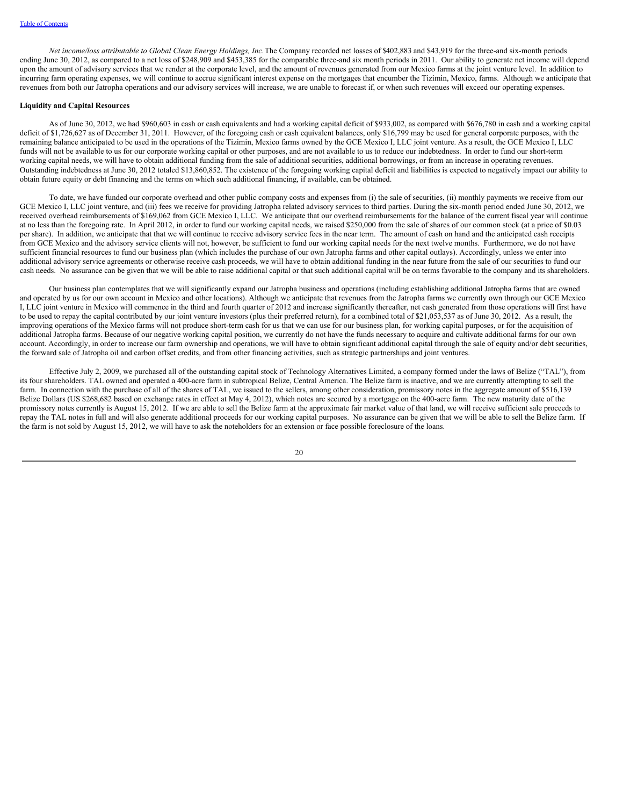*Net income/loss attributable to Global Clean Energy Holdings, Inc.*The Company recorded net losses of \$402,883 and \$43,919 for the three-and six-month periods ending June 30, 2012, as compared to a net loss of \$248,909 and \$453,385 for the comparable three-and six month periods in 2011. Our ability to generate net income will depend upon the amount of advisory services that we render at the corporate level, and the amount of revenues generated from our Mexico farms at the joint venture level. In addition to incurring farm operating expenses, we will continue to accrue significant interest expense on the mortgages that encumber the Tizimin, Mexico, farms. Although we anticipate that revenues from both our Jatropha operations and our advisory services will increase, we are unable to forecast if, or when such revenues will exceed our operating expenses.

#### **Liquidity and Capital Resources**

As of June 30, 2012, we had \$960,603 in cash or cash equivalents and had a working capital deficit of \$933,002, as compared with \$676,780 in cash and a working capital deficit of \$1,726,627 as of December 31, 2011. However, of the foregoing cash or cash equivalent balances, only \$16,799 may be used for general corporate purposes, with the remaining balance anticipated to be used in the operations of the Tizimin, Mexico farms owned by the GCE Mexico I, LLC joint venture. As a result, the GCE Mexico I, LLC funds will not be available to us for our corporate working capital or other purposes, and are not available to us to reduce our indebtedness. In order to fund our short-term working capital needs, we will have to obtain additional funding from the sale of additional securities, additional borrowings, or from an increase in operating revenues. Outstanding indebtedness at June 30, 2012 totaled \$13,860,852. The existence of the foregoing working capital deficit and liabilities is expected to negatively impact our ability to obtain future equity or debt financing and the terms on which such additional financing, if available, can be obtained.

To date, we have funded our corporate overhead and other public company costs and expenses from (i) the sale of securities, (ii) monthly payments we receive from our GCE Mexico I, LLC joint venture, and (iii) fees we receive for providing Jatropha related advisory services to third parties. During the six-month period ended June 30, 2012, we received overhead reimbursements of \$169,062 from GCE Mexico I, LLC. We anticipate that our overhead reimbursements for the balance of the current fiscal year will continue at no less than the foregoing rate. In April 2012, in order to fund our working capital needs, we raised \$250,000 from the sale of shares of our common stock (at a price of \$0.03 per share). In addition, we anticipate that that we will continue to receive advisory service fees in the near term. The amount of cash on hand and the anticipated cash receipts from GCE Mexico and the advisory service clients will not, however, be sufficient to fund our working capital needs for the next twelve months. Furthermore, we do not have sufficient financial resources to fund our business plan (which includes the purchase of our own Jatropha farms and other capital outlays). Accordingly, unless we enter into additional advisory service agreements or otherwise receive cash proceeds, we will have to obtain additional funding in the near future from the sale of our securities to fund our cash needs. No assurance can be given that we will be able to raise additional capital or that such additional capital will be on terms favorable to the company and its shareholders.

Our business plan contemplates that we will significantly expand our Jatropha business and operations (including establishing additional Jatropha farms that are owned and operated by us for our own account in Mexico and other locations). Although we anticipate that revenues from the Jatropha farms we currently own through our GCE Mexico I, LLC joint venture in Mexico will commence in the third and fourth quarter of 2012 and increase significantly thereafter, net cash generated from those operations will first have to be used to repay the capital contributed by our joint venture investors (plus their preferred return), for a combined total of \$21,053,537 as of June 30, 2012. As a result, the improving operations of the Mexico farms will not produce short-term cash for us that we can use for our business plan, for working capital purposes, or for the acquisition of additional Jatropha farms. Because of our negative working capital position, we currently do not have the funds necessary to acquire and cultivate additional farms for our own account. Accordingly, in order to increase our farm ownership and operations, we will have to obtain significant additional capital through the sale of equity and/or debt securities, the forward sale of Jatropha oil and carbon offset credits, and from other financing activities, such as strategic partnerships and joint ventures.

Effective July 2, 2009, we purchased all of the outstanding capital stock of Technology Alternatives Limited, a company formed under the laws of Belize ("TAL"), from its four shareholders. TAL owned and operated a 400-acre farm in subtropical Belize, Central America. The Belize farm is inactive, and we are currently attempting to sell the farm. In connection with the purchase of all of the shares of TAL, we issued to the sellers, among other consideration, promissory notes in the aggregate amount of \$516,139 Belize Dollars (US \$268,682 based on exchange rates in effect at May 4, 2012), which notes are secured by a mortgage on the 400-acre farm. The new maturity date of the promissory notes currently is August 15, 2012. If we are able to sell the Belize farm at the approximate fair market value of that land, we will receive sufficient sale proceeds to repay the TAL notes in full and will also generate additional proceeds for our working capital purposes. No assurance can be given that we will be able to sell the Belize farm. If the farm is not sold by August 15, 2012, we will have to ask the noteholders for an extension or face possible foreclosure of the loans.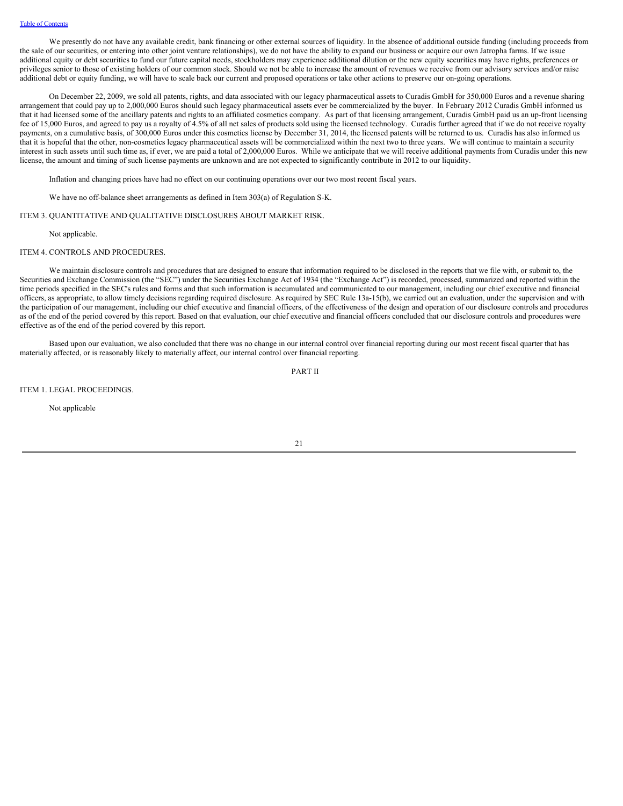We presently do not have any available credit, bank financing or other external sources of liquidity. In the absence of additional outside funding (including proceeds from the sale of our securities, or entering into other joint venture relationships), we do not have the ability to expand our business or acquire our own Jatropha farms. If we issue additional equity or debt securities to fund our future capital needs, stockholders may experience additional dilution or the new equity securities may have rights, preferences or privileges senior to those of existing holders of our common stock. Should we not be able to increase the amount of revenues we receive from our advisory services and/or raise additional debt or equity funding, we will have to scale back our current and proposed operations or take other actions to preserve our on-going operations.

On December 22, 2009, we sold all patents, rights, and data associated with our legacy pharmaceutical assets to Curadis GmbH for 350,000 Euros and a revenue sharing arrangement that could pay up to 2,000,000 Euros should such legacy pharmaceutical assets ever be commercialized by the buyer. In February 2012 Curadis GmbH informed us that it had licensed some of the ancillary patents and rights to an affiliated cosmetics company. As part of that licensing arrangement, Curadis GmbH paid us an up-front licensing fee of 15,000 Euros, and agreed to pay us a royalty of 4.5% of all net sales of products sold using the licensed technology. Curadis further agreed that if we do not receive royalty payments, on a cumulative basis, of 300,000 Euros under this cosmetics license by December 31, 2014, the licensed patents will be returned to us. Curadis has also informed us that it is hopeful that the other, non-cosmetics legacy pharmaceutical assets will be commercialized within the next two to three years. We will continue to maintain a security interest in such assets until such time as, if ever, we are paid a total of 2,000,000 Euros. While we anticipate that we will receive additional payments from Curadis under this new license, the amount and timing of such license payments are unknown and are not expected to significantly contribute in 2012 to our liquidity.

Inflation and changing prices have had no effect on our continuing operations over our two most recent fiscal years.

We have no off-balance sheet arrangements as defined in Item 303(a) of Regulation S-K.

#### <span id="page-23-0"></span>ITEM 3. QUANTITATIVE AND QUALITATIVE DISCLOSURES ABOUT MARKET RISK.

Not applicable.

#### ITEM 4. CONTROLS AND PROCEDURES.

We maintain disclosure controls and procedures that are designed to ensure that information required to be disclosed in the reports that we file with, or submit to, the Securities and Exchange Commission (the "SEC") under the Securities Exchange Act of 1934 (the "Exchange Act") is recorded, processed, summarized and reported within the time periods specified in the SEC's rules and forms and that such information is accumulated and communicated to our management, including our chief executive and financial officers, as appropriate, to allow timely decisions regarding required disclosure. As required by SEC Rule 13a-15(b), we carried out an evaluation, under the supervision and with the participation of our management, including our chief executive and financial officers, of the effectiveness of the design and operation of our disclosure controls and procedures as of the end of the period covered by this report. Based on that evaluation, our chief executive and financial officers concluded that our disclosure controls and procedures were effective as of the end of the period covered by this report.

Based upon our evaluation, we also concluded that there was no change in our internal control over financial reporting during our most recent fiscal quarter that has materially affected, or is reasonably likely to materially affect, our internal control over financial reporting.

<span id="page-23-1"></span>PART II

ITEM 1. LEGAL PROCEEDINGS.

Not applicable

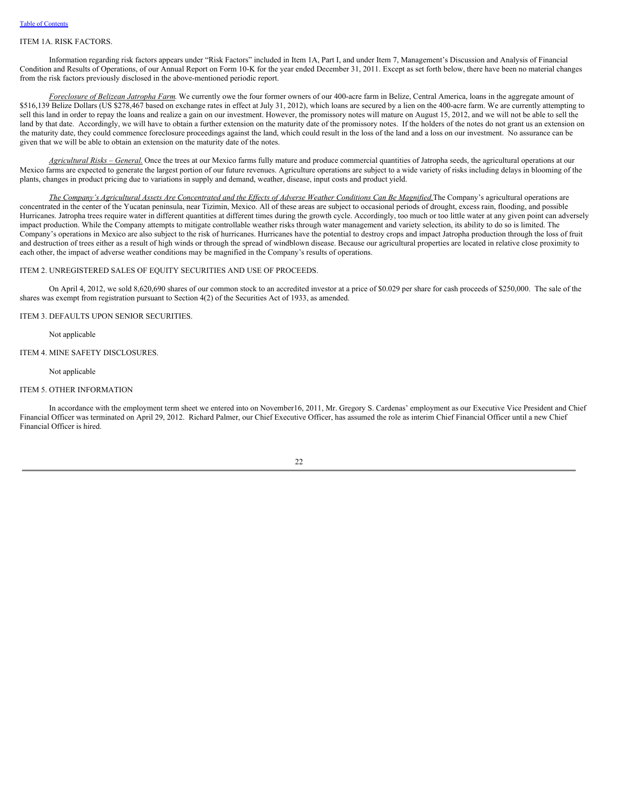#### <span id="page-24-0"></span>ITEM 1A. RISK FACTORS.

Information regarding risk factors appears under "Risk Factors" included in Item 1A, Part I, and under Item 7, Management's Discussion and Analysis of Financial Condition and Results of Operations, of our Annual Report on Form 10-K for the year ended December 31, 2011. Except as set forth below, there have been no material changes from the risk factors previously disclosed in the above-mentioned periodic report.

*Foreclosure of Belizean Jatropha Farm*. We currently owe the four former owners of our 400-acre farm in Belize, Central America, loans in the aggregate amount of \$516,139 Belize Dollars (US \$278,467 based on exchange rates in effect at July 31, 2012), which loans are secured by a lien on the 400-acre farm. We are currently attempting to sell this land in order to repay the loans and realize a gain on our investment. However, the promissory notes will mature on August 15, 2012, and we will not be able to sell the land by that date. Accordingly, we will have to obtain a further extension on the maturity date of the promissory notes. If the holders of the notes do not grant us an extension on the maturity date, they could commence foreclosure proceedings against the land, which could result in the loss of the land and a loss on our investment. No assurance can be given that we will be able to obtain an extension on the maturity date of the notes.

*Agricultural Risks – General.* Once the trees at our Mexico farms fully mature and produce commercial quantities of Jatropha seeds, the agricultural operations at our Mexico farms are expected to generate the largest portion of our future revenues. Agriculture operations are subject to a wide variety of risks including delays in blooming of the plants, changes in product pricing due to variations in supply and demand, weather, disease, input costs and product yield.

The Company's Agricultural Assets Are Concentrated and the Effects of Adverse Weather Conditions Can Be Magnified. The Company's agricultural operations are concentrated in the center of the Yucatan peninsula, near Tizimin, Mexico. All of these areas are subject to occasional periods of drought, excess rain, flooding, and possible Hurricanes. Jatropha trees require water in different quantities at different times during the growth cycle. Accordingly, too much or too little water at any given point can adversely impact production. While the Company attempts to mitigate controllable weather risks through water management and variety selection, its ability to do so is limited. The Company's operations in Mexico are also subject to the risk of hurricanes. Hurricanes have the potential to destroy crops and impact Jatropha production through the loss of fruit and destruction of trees either as a result of high winds or through the spread of windblown disease. Because our agricultural properties are located in relative close proximity to each other, the impact of adverse weather conditions may be magnified in the Company's results of operations.

#### ITEM 2. UNREGISTERED SALES OF EQUITY SECURITIES AND USE OF PROCEEDS.

On April 4, 2012, we sold 8,620,690 shares of our common stock to an accredited investor at a price of \$0.029 per share for cash proceeds of \$250,000. The sale of the shares was exempt from registration pursuant to Section 4(2) of the Securities Act of 1933, as amended.

ITEM 3. DEFAULTS UPON SENIOR SECURITIES.

Not applicable

#### ITEM 4. MINE SAFETY DISCLOSURES.

Not applicable

## ITEM 5. OTHER INFORMATION

In accordance with the employment term sheet we entered into on November16, 2011, Mr. Gregory S. Cardenas' employment as our Executive Vice President and Chief Financial Officer was terminated on April 29, 2012. Richard Palmer, our Chief Executive Officer, has assumed the role as interim Chief Financial Officer until a new Chief Financial Officer is hired.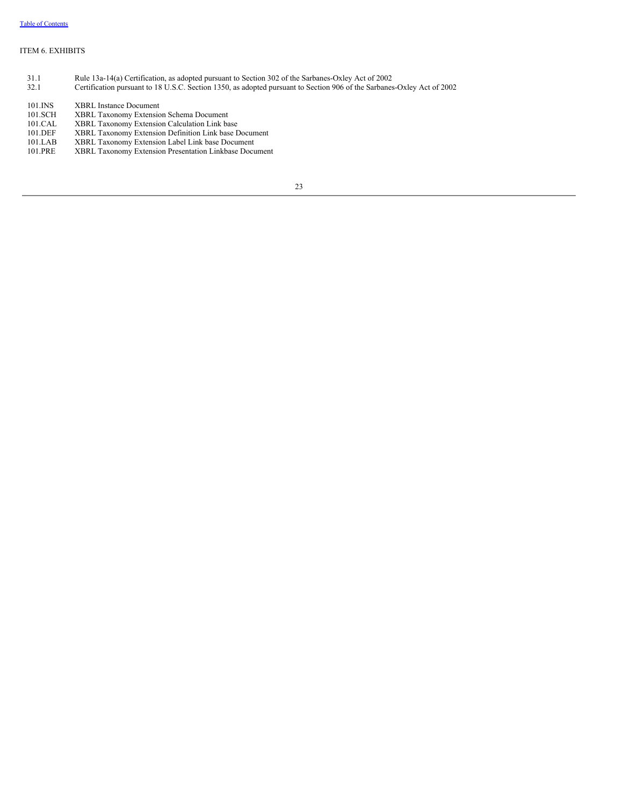## <span id="page-25-0"></span>ITEM 6. EXHIBITS

- 31.1 Rule 13a-14(a) Certification, as adopted pursuant to Section 302 of the Sarbanes-Oxley Act of 2002
- 32.1 Certification pursuant to 18 U.S.C. Section 1350, as adopted pursuant to Section 906 of the Sarbanes-Oxley Act of 2002
- 101.INS XBRL Instance Document 101.SCH XBRL Taxonomy Extension Schema Document 101.CAL XBRL Taxonomy Extension Calculation Link base
- 101.DEF XBRL Taxonomy Extension Definition Link base Document
- 
- 101.LAB XBRL Taxonomy Extension Label Link base Document XBRL Taxonomy Extension Presentation Linkbase Document
- 23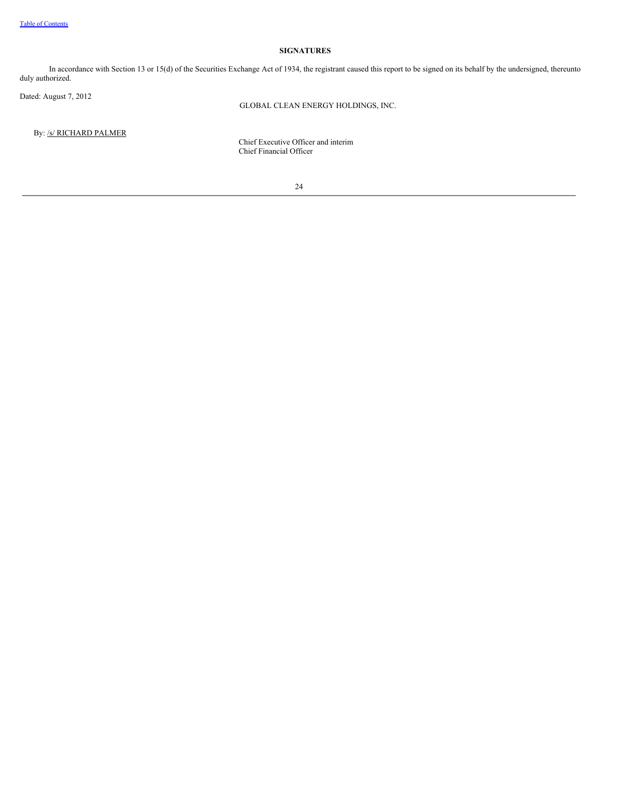## **SIGNATURES**

In accordance with Section 13 or 15(d) of the Securities Exchange Act of 1934, the registrant caused this report to be signed on its behalf by the undersigned, thereunto duly authorized.

Dated: August 7, 2012

GLOBAL CLEAN ENERGY HOLDINGS, INC.

By: /s/ RICHARD PALMER

Chief Executive Officer and interim Chief Financial Officer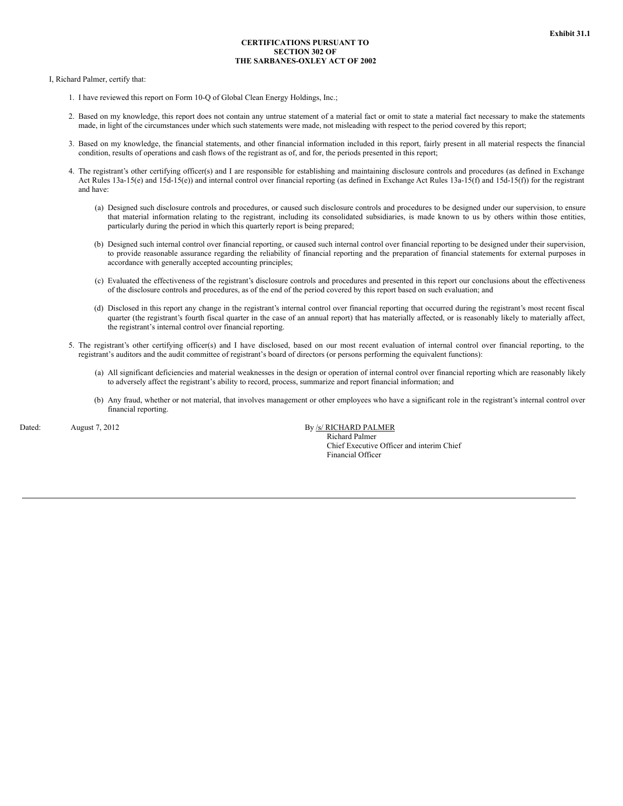## **CERTIFICATIONS PURSUANT TO SECTION 302 OF THE SARBANES-OXLEY ACT OF 2002**

I, Richard Palmer, certify that:

- 1. I have reviewed this report on Form 10-Q of Global Clean Energy Holdings, Inc.;
- 2. Based on my knowledge, this report does not contain any untrue statement of a material fact or omit to state a material fact necessary to make the statements made, in light of the circumstances under which such statements were made, not misleading with respect to the period covered by this report;
- 3. Based on my knowledge, the financial statements, and other financial information included in this report, fairly present in all material respects the financial condition, results of operations and cash flows of the registrant as of, and for, the periods presented in this report;
- 4. The registrant's other certifying officer(s) and I are responsible for establishing and maintaining disclosure controls and procedures (as defined in Exchange Act Rules 13a-15(e) and 15d-15(e)) and internal control over financial reporting (as defined in Exchange Act Rules 13a-15(f) and 15d-15(f)) for the registrant and have:
	- (a) Designed such disclosure controls and procedures, or caused such disclosure controls and procedures to be designed under our supervision, to ensure that material information relating to the registrant, including its consolidated subsidiaries, is made known to us by others within those entities, particularly during the period in which this quarterly report is being prepared;
	- (b) Designed such internal control over financial reporting, or caused such internal control over financial reporting to be designed under their supervision, to provide reasonable assurance regarding the reliability of financial reporting and the preparation of financial statements for external purposes in accordance with generally accepted accounting principles;
	- (c) Evaluated the effectiveness of the registrant's disclosure controls and procedures and presented in this report our conclusions about the effectiveness of the disclosure controls and procedures, as of the end of the period covered by this report based on such evaluation; and
	- (d) Disclosed in this report any change in the registrant's internal control over financial reporting that occurred during the registrant's most recent fiscal quarter (the registrant's fourth fiscal quarter in the case of an annual report) that has materially affected, or is reasonably likely to materially affect, the registrant's internal control over financial reporting.
- 5. The registrant's other certifying officer(s) and I have disclosed, based on our most recent evaluation of internal control over financial reporting, to the registrant's auditors and the audit committee of registrant's board of directors (or persons performing the equivalent functions):
	- (a) All significant deficiencies and material weaknesses in the design or operation of internal control over financial reporting which are reasonably likely to adversely affect the registrant's ability to record, process, summarize and report financial information; and
	- (b) Any fraud, whether or not material, that involves management or other employees who have a significant role in the registrant's internal control over financial reporting.

Dated: August 7, 2012 August 7, 2012 By *S/ RICHARD PALMER* 

Richard Palmer Chief Executive Officer and interim Chief Financial Officer